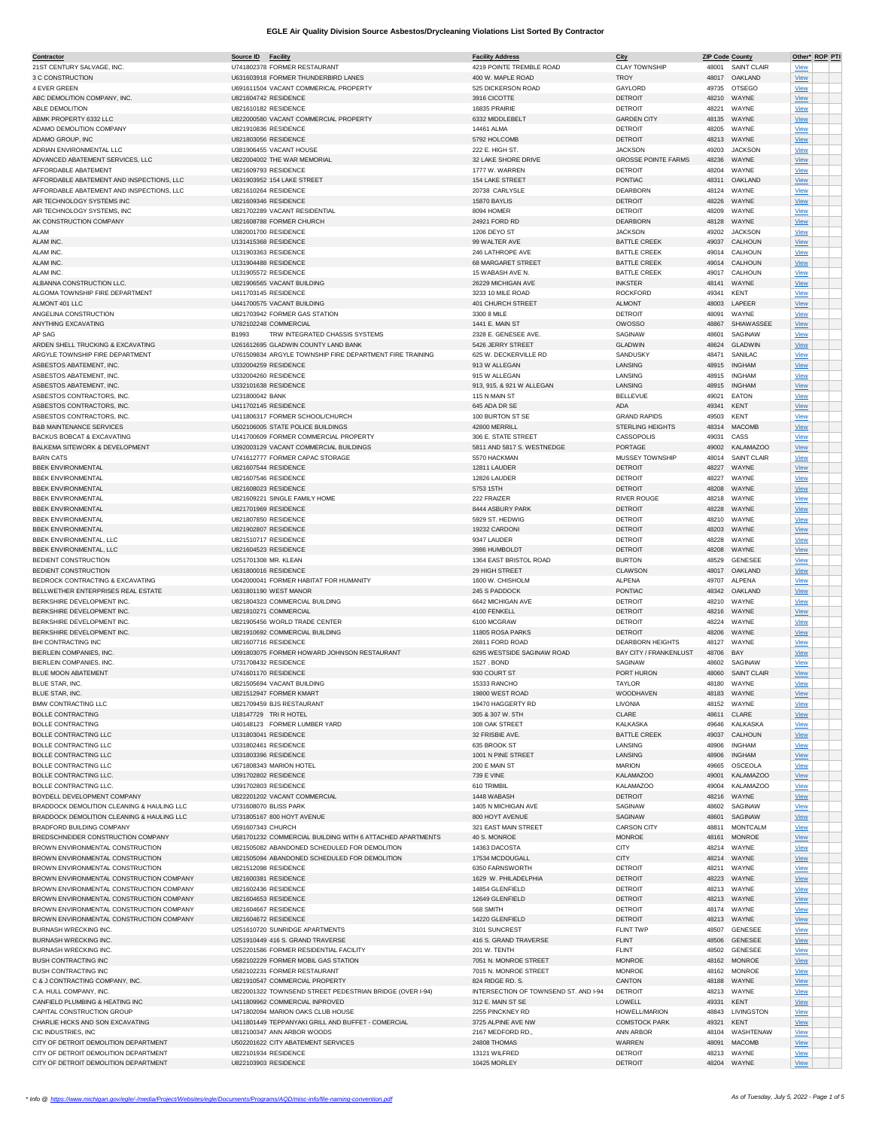| <u>Contractor</u>                          | Source ID             | <b>Facility</b>                                           | <b>Facility Address</b>               | City                          | <b>ZIP Code County</b> |                    | Other* ROP PTI |  |
|--------------------------------------------|-----------------------|-----------------------------------------------------------|---------------------------------------|-------------------------------|------------------------|--------------------|----------------|--|
| 21ST CENTURY SALVAGE, INC.                 |                       | U741802378 FORMER RESTAURANT                              | 4219 POINTE TREMBLE ROAD              | <b>CLAY TOWNSHIP</b>          |                        | 48001 SAINT CLAIR  | <b>View</b>    |  |
| 3 C CONSTRUCTION                           |                       | U631603918 FORMER THUNDERBIRD LANES                       | 400 W. MAPLE ROAD                     | <b>TROY</b>                   |                        | 48017 OAKLAND      | View           |  |
|                                            |                       |                                                           |                                       |                               |                        |                    |                |  |
| 4 EVER GREEN                               |                       | U691611504 VACANT COMMERICAL PROPERTY                     | 525 DICKERSON ROAD                    | GAYLORD                       | 49735                  | <b>OTSEGO</b>      | View           |  |
| ABC DEMOLITION COMPANY, INC                | U821604742 RESIDENCE  |                                                           | 3916 CICOTTE                          | <b>DETROIT</b>                | 48210                  | WAYNE              | <b>View</b>    |  |
| ABLE DEMOLITION                            | U821610182 RESIDENCE  |                                                           | 16835 PRAIRIE                         | <b>DETROIT</b>                | 48221                  | WAYNE              | <b>View</b>    |  |
|                                            |                       |                                                           |                                       |                               |                        |                    |                |  |
| ABMK PROPERTY 6332 LLC                     |                       | U822000580 VACANT COMMERCIAL PROPERTY                     | 6332 MIDDLEBELT                       | <b>GARDEN CITY</b>            | 48135                  | WAYNE              | <b>View</b>    |  |
| ADAMO DEMOLITION COMPANY                   | U821910836 RESIDENCE  |                                                           | 14461 ALMA                            | <b>DETROIT</b>                | 48205                  | WAYNE              | $View$         |  |
| ADAMO GROUP, INC                           | U821803056 RESIDENCE  |                                                           | 5792 HOLCOMB                          | <b>DETROIT</b>                | 48213                  | WAYNE              | View           |  |
|                                            |                       | U381906455 VACANT HOUSE                                   |                                       |                               |                        | <b>JACKSON</b>     |                |  |
| ADRIAN ENVIRONMENTAL LLC                   |                       |                                                           | 222 E. HIGH ST.                       | <b>JACKSON</b>                | 49203                  |                    | <b>View</b>    |  |
| ADVANCED ABATEMENT SERVICES, LLC           |                       | U822004002 THE WAR MEMORIAL                               | 32 LAKE SHORE DRIVE                   | <b>GROSSE POINTE FARMS</b>    | 48236                  | WAYNE              | View           |  |
| AFFORDABLE ABATEMENT                       | U821609793 RESIDENCE  |                                                           | 1777 W. WARREN                        | <b>DETROIT</b>                | 48204                  | WAYNE              | <b>View</b>    |  |
| AFFORDABLE ABATEMENT AND INSPECTIONS, LLC  |                       | U631903952 154 LAKE STREET                                | 154 LAKE STREET                       | PONTIAC                       | 48311                  | OAKLAND            | View           |  |
|                                            |                       |                                                           |                                       |                               |                        |                    |                |  |
| AFFORDABLE ABATEMENT AND INSPECTIONS, LLC  | U821610264 RESIDENCE  |                                                           | 20738 CARLYSLE                        | DEARBORN                      | 48124                  | WAYNE              | View           |  |
| AIR TECHNOLOGY SYSTEMS INC                 | U821609346 RESIDENCE  |                                                           | 15870 BAYLIS                          | <b>DETROIT</b>                | 48226                  | WAYNE              | View           |  |
| AIR TECHNOLOGY SYSTEMS, INC                |                       | U821702289 VACANT RESIDENTIAL                             | 8094 HOMER                            | <b>DETROIT</b>                | 48209                  | WAYNE              | <b>View</b>    |  |
|                                            |                       |                                                           |                                       |                               |                        |                    |                |  |
| AK CONSTRUCTION COMPANY                    |                       | U821608788 FORMER CHURCH                                  | 24921 FORD RD                         | DEARBORN                      | 48128                  | WAYNE              | <b>View</b>    |  |
| AL AM                                      | U382001700 RESIDENCE  |                                                           | 1206 DEYO ST                          | <b>JACKSON</b>                | 49202                  | <b>JACKSON</b>     | View           |  |
| ALAM INC                                   | U131415368 RESIDENCE  |                                                           | 99 WALTER AVE                         | <b>BATTLE CREEK</b>           | 49037                  | CALHOUN            | View           |  |
|                                            |                       |                                                           |                                       |                               |                        |                    |                |  |
| ALAM INC                                   | U131903363 RESIDENCE  |                                                           | 246 LATHROPE AVE                      | <b>BATTLE CREEK</b>           | 49014                  | CALHOUN            | View           |  |
| ALAM INC                                   | U131904488 RESIDENCE  |                                                           | 68 MARGARET STREET                    | <b>BATTLE CREEK</b>           | 49014                  | CALHOUN            | <b>View</b>    |  |
| ALAM INC                                   | U131905572 RESIDENCE  |                                                           | 15 WABASH AVE N.                      | <b>BATTLE CREEK</b>           | 49017                  | CALHOUN            | <b>View</b>    |  |
|                                            |                       |                                                           |                                       |                               |                        |                    |                |  |
| ALBANNA CONSTRUCTION LLC                   |                       | U821906565 VACANT BUILDING                                | 26229 MICHIGAN AVE                    | <b>INKSTER</b>                | 48141                  | WAYNE              | View           |  |
| ALGOMA TOWNSHIP FIRE DEPARTMENT            | U411703145 RESIDENCE  |                                                           | 3233 10 MILE ROAD                     | <b>ROCKFORD</b>               | 49341                  | <b>KENT</b>        | View           |  |
| ALMONT 401 LLC                             |                       | U441700575 VACANT BUILDING                                | 401 CHURCH STREET                     | <b>ALMONT</b>                 | 48003                  | LAPEER             | View           |  |
|                                            |                       |                                                           |                                       |                               |                        |                    |                |  |
| ANGELINA CONSTRUCTION                      |                       | U821703942 FORMER GAS STATION                             | 3300 8 MILE                           | <b>DETROIT</b>                | 48091                  | WAYNE              | View           |  |
| ANYTHING EXCAVATING                        |                       | U782102248 COMMERCIAL                                     | 1441 E. MAIN ST                       | <b>OWOSSO</b>                 | 48867                  | SHIAWASSEE         | <b>View</b>    |  |
| AP SAG                                     | B1993                 | TRW INTEGRATED CHASSIS SYSTEMS                            | 2328 E. GENESEE AVE.                  | SAGINAW                       | 48601                  | SAGINAW            | View           |  |
| ARDEN SHELL TRUCKING & EXCAVATING          |                       | U261612695 GLADWIN COUNTY LAND BANK                       | 5426 JERRY STREET                     | <b>GLADWIN</b>                | 48624                  | <b>GLADWIN</b>     | View           |  |
|                                            |                       |                                                           |                                       |                               |                        |                    |                |  |
| ARGYLE TOWNSHIP FIRE DEPARTMENT            |                       | U761509834 ARGYLE TOWNSHIP FIRE DEPARTMENT FIRE TRAINING  | 625 W. DECKERVILLE RD                 | SANDUSKY                      | 48471                  | SANILAC            | View           |  |
| ASBESTOS ABATEMENT, INC.                   | U332004259 RESIDENCE  |                                                           | 913 W ALLEGAN                         | LANSING                       | 48915                  | <b>INGHAM</b>      | <b>View</b>    |  |
| ASBESTOS ABATEMENT, INC.                   | U332004260 RESIDENCE  |                                                           | 915 W ALLEGAN                         |                               |                        | <b>INGHAM</b>      |                |  |
|                                            |                       |                                                           |                                       | LANSING                       | 48915                  |                    | <b>View</b>    |  |
| ASBESTOS ABATEMENT, INC.                   | U332101638 RESIDENCE  |                                                           | 913, 915, & 921 W ALLEGAN             | LANSING                       | 48915                  | <b>INGHAM</b>      | View           |  |
| ASBESTOS CONTRACTORS, INC                  | U231800042 BANK       |                                                           | 115 N MAIN ST                         | BELLEVUE                      | 49021                  | EATON              | View           |  |
|                                            |                       |                                                           |                                       |                               |                        |                    |                |  |
| ASBESTOS CONTRACTORS, INC                  | U411702145 RESIDENCE  |                                                           | 645 ADA DR SE                         | <b>ADA</b>                    | 49341                  | KENT               | View           |  |
| ASBESTOS CONTRACTORS, INC                  |                       | U411806317 FORMER SCHOOL/CHURCH                           | 100 BURTON ST SE                      | <b>GRAND RAPIDS</b>           | 49503                  | KENT               | <b>View</b>    |  |
| <b>B&amp;B MAINTENANCE SERVICES</b>        |                       | U502106005 STATE POLICE BUILDINGS                         | 42800 MERRILL                         | STERLING HEIGHTS              | 48314                  | <b>MACOMB</b>      | <b>View</b>    |  |
| BACKUS BOBCAT & EXCAVATING                 |                       | U141700609 FORMER COMMERCIAL PROPERTY                     | 306 E. STATE STREET                   | CASSOPOLIS                    | 49031                  | CASS               | View           |  |
|                                            |                       |                                                           |                                       |                               |                        |                    |                |  |
| BALKEMA SITEWORK & DEVELOPMENT             |                       | U392003129 VACANT COMMERCIAL BUILDINGS                    | 5811 AND 5817 S. WESTNEDGE            | PORTAGE                       | 49002                  | <b>KALAMAZOO</b>   | View           |  |
| <b>BARN CATS</b>                           |                       | U741612777 FORMER CAPAC STORAGE                           | 5570 HACKMAN                          | MUSSEY TOWNSHIP               |                        | 48014 SAINT CLAIR  | View           |  |
|                                            |                       |                                                           |                                       |                               |                        |                    |                |  |
| <b>BBEK ENVIRONMENTAL</b>                  | U821607544 RESIDENCE  |                                                           | 12811 LAUDER                          | <b>DETROIT</b>                | 48227                  | WAYNE              | View           |  |
| <b>BBEK ENVIRONMENTAL</b>                  | U821607546 RESIDENCE  |                                                           | 12826 LAUDER                          | <b>DETROIT</b>                | 48227                  | WAYNE              | <b>View</b>    |  |
| <b>BBEK ENVIRONMENTAL</b>                  | U821608023 RESIDENCE  |                                                           | 5753 15TH                             | <b>DETROIT</b>                | 48208                  | WAYNE              | View           |  |
| <b>BBEK ENVIRONMENTAL</b>                  |                       | U821609221 SINGLE FAMILY HOME                             | 222 FRAIZER                           | RIVER ROUGE                   | 48218                  | WAYNE              |                |  |
|                                            |                       |                                                           |                                       |                               |                        |                    | View           |  |
| <b>BBEK ENVIRONMENTAL</b>                  | U821701969 RESIDENCE  |                                                           | 8444 ASBURY PARK                      | <b>DETROIT</b>                | 48228                  | WAYNE              | View           |  |
| <b>BBEK ENVIRONMENTAL</b>                  | U821807850 RESIDENCE  |                                                           | 5929 ST. HEDWIG                       | <b>DETROIT</b>                | 48210                  | WAYNE              | <b>View</b>    |  |
| <b>BBEK ENVIRONMENTAL</b>                  | U821902807 RESIDENCE  |                                                           | 19232 CARDONI                         | <b>DETROIT</b>                | 48203                  | WAYNE              |                |  |
|                                            |                       |                                                           |                                       |                               |                        |                    | <b>View</b>    |  |
| BBEK ENVIRONMENTAL, LLC                    | U821510717 RESIDENCE  |                                                           | 9347 LAUDER                           | <b>DETROIT</b>                | 48228                  | WAYNE              | View           |  |
| BBEK ENVIRONMENTAL, LLC                    | U821604523 RESIDENCE  |                                                           | 3986 HUMBOLDT                         | <b>DETROIT</b>                | 48208                  | WAYNE              | View           |  |
| <b>BEDIENT CONSTRUCTION</b>                | U251701308 MR. KLEAN  |                                                           | 1364 EAST BRISTOL ROAD                | <b>BURTON</b>                 | 48529                  | GENESEE            | View           |  |
|                                            |                       |                                                           |                                       |                               |                        |                    |                |  |
| <b>BEDIENT CONSTRUCTION</b>                | U631800016 RESIDENCE  |                                                           | 29 HIGH STREET                        | CLAWSON                       | 48017                  | OAKLAND            | <b>View</b>    |  |
| BEDROCK CONTRACTING & EXCAVATING           |                       | U042000041 FORMER HABITAT FOR HUMANITY                    | 1600 W. CHISHOLM                      | <b>ALPENA</b>                 | 49707                  | ALPENA             | <b>View</b>    |  |
| BELLWETHER ENTERPRISES REAL ESTATE         |                       | U631801190 WEST MANOR                                     | 245 S PADDOCK                         | PONTIAC                       |                        | 48342 OAKLAND      | View           |  |
|                                            |                       |                                                           |                                       |                               |                        |                    |                |  |
| BERKSHIRE DEVELOPMENT INC                  |                       | U821804323 COMMERCIAL BUILDING                            | 6642 MICHIGAN AVE                     | <b>DETROIT</b>                | 48210                  | WAYNE              | View           |  |
| BERKSHIRE DEVELOPMENT INC.                 |                       | U821810271 COMMERCIAL                                     | 4100 FENKELL                          | <b>DETROIT</b>                | 48216                  | WAYNE              | View           |  |
| BERKSHIRE DEVELOPMENT INC.                 |                       | U821905456 WORLD TRADE CENTER                             | 6100 MCGRAW                           | <b>DETROIT</b>                | 48224                  | WAYNE              | <b>View</b>    |  |
|                                            |                       |                                                           |                                       |                               |                        |                    |                |  |
| BERKSHIRE DEVELOPMENT INC.                 |                       | U821910692 COMMERCIAL BUILDING                            | 11805 ROSA PARKS                      | <b>DETROIT</b>                | 48206                  | WAYNE              | <b>View</b>    |  |
| BHI CONTRACTING INC                        | U821607716 RESIDENCE  |                                                           | 26811 FORD ROAD                       | <b>DEARBORN HEIGHTS</b>       | 48127                  | WAYNE              | View           |  |
| BIERLEIN COMPANIES, INC                    |                       | U091803075 FORMER HOWARD JOHNSON RESTAURANT               | 6295 WESTSIDE SAGINAW ROAD            | <b>BAY CITY / FRANKENLUST</b> | 48706                  | BAY                | View           |  |
|                                            |                       |                                                           |                                       |                               |                        |                    |                |  |
| BIERLEIN COMPANIES, INC.                   | U731708432 RESIDENCE  |                                                           | 1527. BOND                            | SAGINAW                       | 48602                  | SAGINAW            | <b>View</b>    |  |
| <b>BLUE MOON ABATEMENT</b>                 | U741601170 RESIDENCE  |                                                           | 930 COURT ST                          | PORT HURON                    | 48060                  | <b>SAINT CLAIR</b> | <b>View</b>    |  |
| BLUE STAR, INC                             |                       | U821505694 VACANT BUILDING                                | 15333 RANCHO                          | <b>TAYLOR</b>                 |                        | 48180 WAYNE        | <b>View</b>    |  |
| BLUE STAR, INC.                            |                       | U821512947 FORMER KMART                                   | 19800 WEST ROAD                       | <b>WOODHAVEN</b>              | 48183                  | WAYNE              | View           |  |
|                                            |                       |                                                           |                                       |                               |                        |                    |                |  |
| <b>BMW CONTRACTING LLC</b>                 |                       | U821709459 BJS RESTAURANT                                 | 19470 HAGGERTY RD                     | LIVONIA                       |                        | 48152 WAYNE        | View           |  |
| <b>BOLLE CONTRACTING</b>                   |                       | U18147729 TRI R HOTEL                                     | 305 & 307 W. 5TH                      | CLARE                         |                        | 48611 CLARE        | View           |  |
| <b>BOLLE CONTRACTING</b>                   |                       | U40148123 FORMER LUMBER YARD                              | 108 OAK STREET                        | KALKASKA                      | 49646                  | KALKASKA           | <b>View</b>    |  |
|                                            |                       |                                                           |                                       |                               |                        |                    |                |  |
| <b>BOLLE CONTRACTING LLC</b>               | U131803041 RESIDENCE  |                                                           | 32 FRISBIE AVE.                       | <b>BATTLE CREEK</b>           |                        | 49037 CALHOUN      | <b>View</b>    |  |
| BOLLE CONTRACTING LLC                      | U331802461 RESIDENCE  |                                                           | 635 BROOK ST                          | LANSING                       | 48906                  | <b>INGHAM</b>      | $View$         |  |
| <b>BOLLE CONTRACTING LLC</b>               | U331803396 RESIDENCE  |                                                           | 1001 N PINE STREET                    | LANSING                       | 48906                  | <b>INGHAM</b>      | View           |  |
| BOLLE CONTRACTING LLC                      |                       | U671808343 MARION HOTEL                                   |                                       | <b>MARION</b>                 |                        | OSCEOLA            |                |  |
|                                            |                       |                                                           | 200 E MAIN ST                         |                               | 49665                  |                    | <b>View</b>    |  |
| <b>BOLLE CONTRACTING LLC</b>               | U391702802 RESIDENCE  |                                                           | 739 E VINE                            | <b>KALAMAZOO</b>              | 49001                  | <b>KALAMAZOO</b>   | <b>View</b>    |  |
| BOLLE CONTRACTING LLC.                     | U391702803 RESIDENCE  |                                                           | 610 TRIMBIL                           | <b>KALAMAZOO</b>              | 49004                  | <b>KALAMAZOO</b>   | <b>View</b>    |  |
| BOYDELL DEVELOPMENT COMPANY                |                       | U822201202 VACANT COMMERCIAL                              | 1448 WABASH                           | <b>DETROIT</b>                |                        | 48216 WAYNE        | View           |  |
|                                            |                       |                                                           |                                       |                               |                        |                    |                |  |
| BRADDOCK DEMOLITION CLEANING & HAULING LLC | U731608070 BLISS PARK |                                                           | 1405 N MICHIGAN AVE                   | SAGINAW                       | 48602                  | SAGINAW            | View           |  |
| BRADDOCK DEMOLITION CLEANING & HAULING LLC |                       | U731805167 800 HOYT AVENUE                                | 800 HOYT AVENUE                       | SAGINAW                       |                        | 48601 SAGINAW      | View           |  |
| BRADFORD BUILDING COMPANY                  | U591607343 CHURCH     |                                                           | 321 EAST MAIN STREET                  | <b>CARSON CITY</b>            | 48811                  | MONTCALM           | <b>View</b>    |  |
|                                            |                       |                                                           |                                       |                               |                        |                    |                |  |
| BREDSCHNEIDER CONSTRUCTION COMPANY         |                       | U581701232 COMMERCIAL BUILDING WITH 6 ATTACHED APARTMENTS | 40 S. MONROE                          | <b>MONROE</b>                 | 48161                  | <b>MONROE</b>      | <b>View</b>    |  |
| BROWN ENVIRONMENTAL CONSTRUCTION           |                       | U821505082 ABANDONED SCHEDULED FOR DEMOLITION             | 14363 DACOSTA                         | CITY                          |                        | 48214 WAYNE        | View           |  |
| BROWN ENVIRONMENTAL CONSTRUCTION           |                       | U821505094 ABANDONED SCHEDULED FOR DEMOLITION             | 17534 MCDOUGALL                       | CITY                          |                        | 48214 WAYNE        | View           |  |
| BROWN ENVIRONMENTAL CONSTRUCTION           | U821512098 RESIDENCE  |                                                           | 6350 FARNSWORTH                       |                               |                        | WAYNE              |                |  |
|                                            |                       |                                                           |                                       | <b>DETROIT</b>                | 48211                  |                    | View           |  |
| BROWN ENVIRONMENTAL CONSTRUCTION COMPANY   | U821600381 RESIDENCE  |                                                           | 1629 W. PHILADELPHIA                  | <b>DETROIT</b>                | 48223                  | WAYNE              | <b>View</b>    |  |
| BROWN ENVIRONMENTAL CONSTRUCTION COMPANY   | U821602436 RESIDENCE  |                                                           | 14854 GLENFIELD                       | <b>DETROIT</b>                | 48213                  | WAYNE              | <b>View</b>    |  |
| BROWN ENVIRONMENTAL CONSTRUCTION COMPANY   | U821604653 RESIDENCE  |                                                           | 12649 GLENFIELD                       | <b>DETROIT</b>                |                        | 48213 WAYNE        | View           |  |
|                                            |                       |                                                           |                                       |                               |                        |                    |                |  |
| BROWN ENVIRONMENTAL CONSTRUCTION COMPANY   | U821604667 RESIDENCE  |                                                           | 568 SMITH                             | <b>DETROIT</b>                | 48174                  | WAYNE              | <b>View</b>    |  |
| BROWN ENVIRONMENTAL CONSTRUCTION COMPANY   | U821604672 RESIDENCE  |                                                           | 14220 GLENFIELD                       | <b>DETROIT</b>                | 48213                  | WAYNE              | View           |  |
| BURNASH WRECKING INC.                      |                       | U251610720 SUNRIDGE APARTMENTS                            | 3101 SUNCREST                         | <b>FLINT TWP</b>              | 48507                  | <b>GENESEE</b>     | <b>View</b>    |  |
|                                            |                       |                                                           |                                       |                               |                        |                    |                |  |
| BURNASH WRECKING INC.                      |                       | U251910449 416 S. GRAND TRAVERSE                          | 416 S. GRAND TRAVERSE                 | <b>FLINT</b>                  |                        | 48506 GENESEE      | <b>View</b>    |  |
| BURNASH WRECKING INC.                      |                       | U252201586 FORMER RESIDENTIAL FACILITY                    | 201 W. TENTH                          | <b>FLINT</b>                  | 48502                  | GENESEE            | View           |  |
| BUSH CONTRACTING INC                       |                       | U582102229 FORMER MOBIL GAS STATION                       | 7051 N. MONROE STREET                 | <b>MONROE</b>                 |                        | 48162 MONROE       | <b>View</b>    |  |
|                                            |                       |                                                           |                                       |                               |                        |                    |                |  |
| BUSH CONTRACTING INC                       |                       | U582102231 FORMER RESTAURANT                              | 7015 N. MONROE STREET                 | <b>MONROE</b>                 |                        | 48162 MONROE       | <b>View</b>    |  |
| C & J CONTRACTING COMPANY, INC.            |                       | U821910547 COMMERCIAL PROPERTY                            | 824 RIDGE RD, S.                      | CANTON                        | 48188                  | WAYNE              | <b>View</b>    |  |
| C.A. HULL COMPANY, INC.                    |                       | U822001322 TOWNSEND STREET PEDESTRIAN BRIDGE (OVER I-94)  | INTERSECTION OF TOWNSEND ST. AND I-94 | <b>DETROIT</b>                |                        | 48213 WAYNE        | <b>View</b>    |  |
|                                            |                       |                                                           |                                       |                               |                        | KENT               |                |  |
| CANFIELD PLUMBING & HEATING INC            |                       |                                                           |                                       |                               | 49331                  |                    | View           |  |
| CAPITAL CONSTRUCTION GROUP                 |                       | U411809962 COMMERCIAL INPROVED                            | 312 E. MAIN ST SE                     | LOWELL                        |                        |                    |                |  |
|                                            |                       | U471802094 MARION OAKS CLUB HOUSE                         | 2255 PINCKNEY RD                      | HOWELL/MARION                 |                        | 48843 LIVINGSTON   | <b>View</b>    |  |
| CHARLIE HICKS AND SON EXCAVATING           |                       | U411801449 TEPPANYAKI GRILL AND BUFFET - COMERCIAL        | 3725 ALPINE AVE NW                    | <b>COMSTOCK PARK</b>          | 49321                  | KENT               | View           |  |
|                                            |                       |                                                           |                                       |                               |                        |                    |                |  |
| CIC INDUSTRIES, INC                        |                       | U812100347 ANN ARBOR WOODS                                | 2167 MEDFORD RD.                      | ANN ARBOR                     | 48104                  | WASHTENAW          | <b>View</b>    |  |
| CITY OF DETROIT DEMOLITION DEPARTMENT      |                       | U502201622 CITY ABATEMENT SERVICES                        | 24808 THOMAS                          | WARREN                        | 48091                  | <b>MACOMB</b>      | <b>View</b>    |  |
| CITY OF DETROIT DEMOLITION DEPARTMENT      | U822101934 RESIDENCE  |                                                           | 13121 WILFRED                         | <b>DETROIT</b>                |                        | 48213 WAYNE        | View           |  |
| CITY OF DETROIT DEMOLITION DEPARTMENT      | U822103903 RESIDENCE  |                                                           | 10425 MORLEY                          | <b>DETROIT</b>                |                        | 48204 WAYNE        |                |  |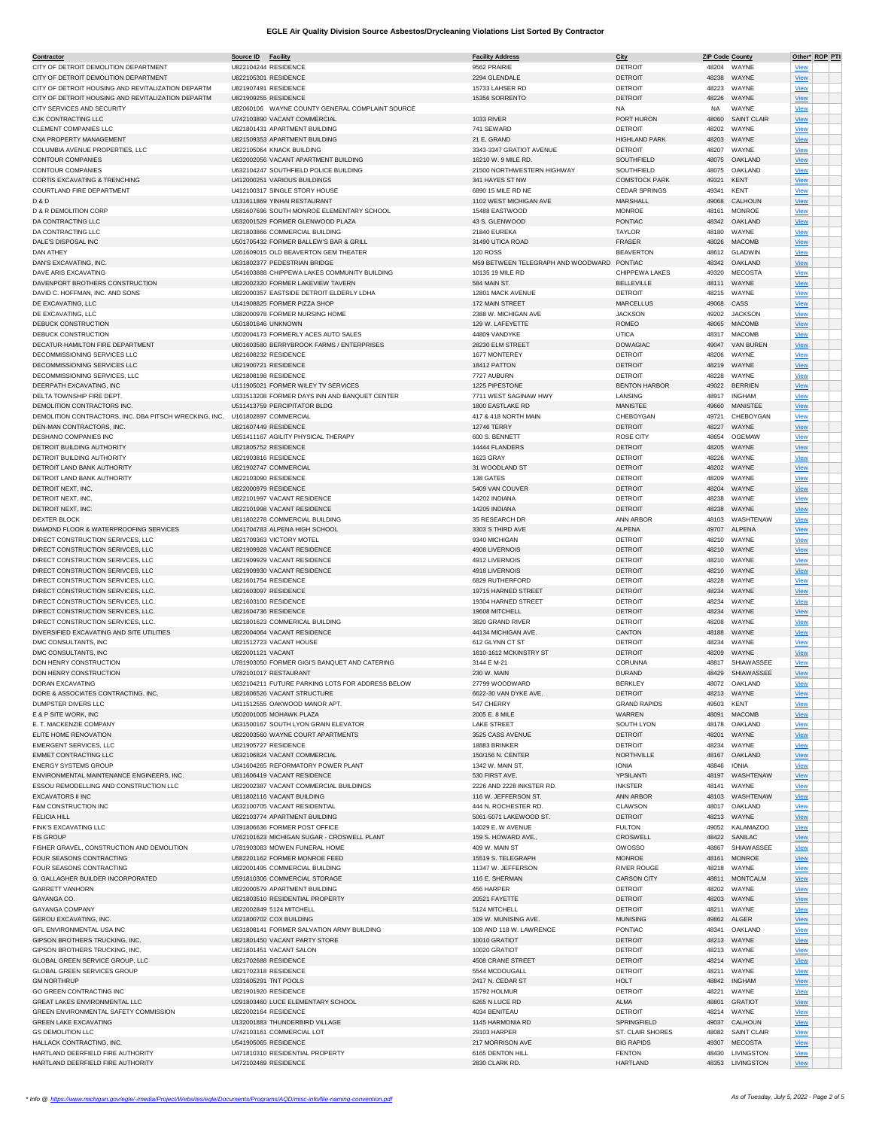| Contractor                                             | Source ID          | <b>Facility</b>                                  | <b>Facility Address</b>            | City                 | <b>ZIP Code County</b> |                    |             | Other* ROP PTI |
|--------------------------------------------------------|--------------------|--------------------------------------------------|------------------------------------|----------------------|------------------------|--------------------|-------------|----------------|
| CITY OF DETROIT DEMOLITION DEPARTMENT                  |                    | U822104244 RESIDENCE                             | 9562 PRAIRIE                       | <b>DETROIT</b>       |                        | 48204 WAYNE        | <b>View</b> |                |
| CITY OF DETROIT DEMOLITION DEPARTMENT                  |                    | U822105301 RESIDENCE                             | 2294 GLENDALE                      | <b>DETROIT</b>       | 48238                  | WAYNE              | View        |                |
| CITY OF DETROIT HOUSING AND REVITALIZATION DEPARTM     |                    | U821907491 RESIDENCE                             | 15733 LAHSER RD                    | <b>DETROIT</b>       | 48223                  | WAYNE              | View        |                |
| CITY OF DETROIT HOUSING AND REVITALIZATION DEPARTM     |                    | U821909255 RESIDENCE                             | 15356 SORRENTO                     | <b>DETROIT</b>       | 48226                  | WAYNE              | View        |                |
| CITY SERVICES AND SECURITY                             |                    | U82060106 WAYNE COUNTY GENERAL COMPLAINT SOURCE  |                                    | <b>NA</b>            | NA                     | WAYNE              | <b>View</b> |                |
| CJK CONTRACTING LLC                                    |                    | U742103890 VACANT COMMERCIAL                     |                                    |                      |                        | <b>SAINT CLAIR</b> |             |                |
|                                                        |                    |                                                  | 1033 RIVER                         | PORT HURON           | 48060                  |                    | <b>View</b> |                |
| CLEMENT COMPANIES LLC                                  |                    | U821801431 APARTMENT BUILDING                    | 741 SEWARD                         | <b>DETROIT</b>       | 48202                  | WAYNE              | View        |                |
| CNA PROPERTY MANAGEMENT                                |                    | U821509353 APARTMENT BUILDING                    | 21 E. GRAND                        | <b>HIGHLAND PARK</b> | 48203                  | WAYNE              | View        |                |
| COLUMBIA AVENUE PROPERTIES, LLC                        |                    | U822105064 KNACK BUILDING                        | 3343-3347 GRATIOT AVENUE           | <b>DETROIT</b>       | 48207                  | WAYNE              | View        |                |
| CONTOUR COMPANIES                                      |                    | U632002056 VACANT APARTMENT BUILDING             | 16210 W. 9 MILE RD.                | SOUTHFIELD           | 48075                  | OAKLAND            | <b>View</b> |                |
| CONTOUR COMPANIES                                      |                    | U632104247 SOUTHFIELD POLICE BUILDING            | 21500 NORTHWESTERN HIGHWAY         | SOUTHFIELD           | 48075                  | OAKLAND            | <b>View</b> |                |
| CORTIS EXCAVATING & TRENCHING                          |                    | U412000251 VARIOUS BUILDINGS                     | 341 HAYES ST NW                    | <b>COMSTOCK PARK</b> | 49321                  | KENT               | View        |                |
| COURTLAND FIRE DEPARTMENT                              |                    | U412100317 SINGLE STORY HOUSE                    | 6890 15 MILE RD NE                 | <b>CEDAR SPRINGS</b> | 49341                  | <b>KENT</b>        |             |                |
|                                                        |                    |                                                  |                                    |                      |                        |                    | View        |                |
| <b>D&amp;D</b>                                         |                    | U131611869 YINHAI RESTAURANT                     | 1102 WEST MICHIGAN AVE             | MARSHALL             | 49068                  | CALHOUN            | View        |                |
| D & R DEMOLITION CORP                                  |                    | U581607696 SOUTH MONROE ELEMENTARY SCHOOL        | 15488 EASTWOOD                     | <b>MONROE</b>        | 48161                  | <b>MONROE</b>      | <b>View</b> |                |
| DA CONTRACTING LLC                                     |                    | U632001529 FORMER GLENWOOD PLAZA                 | 43 S. GLENWOOD                     | PONTIAC              | 48342                  | OAKLAND            | <b>View</b> |                |
| DA CONTRACTING LLC                                     |                    | U821803866 COMMERCIAL BUILDING                   | 21840 EUREKA                       | <b>TAYLOR</b>        | 48180                  | WAYNE              | View        |                |
| DALE'S DISPOSAL INC                                    |                    | U501705432 FORMER BALLEW'S BAR & GRILL           | 31490 UTICA ROAD                   | FRASER               | 48026                  | <b>MACOMB</b>      | View        |                |
| <b>DAN ATHEY</b>                                       |                    |                                                  |                                    |                      |                        |                    |             |                |
|                                                        |                    | U261609015 OLD BEAVERTON GEM THEATER             | <b>120 ROSS</b>                    | <b>BEAVERTON</b>     | 48612                  | <b>GLADWIN</b>     | View        |                |
| DAN'S EXCAVATING, INC.                                 |                    | U631802377 PEDESTRIAN BRIDGE                     | M59 BETWEEN TELEGRAPH AND WOODWARD | PONTIAC              | 48342                  | OAKLAND            | <b>View</b> |                |
| DAVE ARIS EXCAVATING                                   |                    | U541603888 CHIPPEWA LAKES COMMUNITY BUILDING     | 10135 19 MILE RD                   | CHIPPEWA LAKES       | 49320                  | <b>MECOSTA</b>     | <b>View</b> |                |
| DAVENPORT BROTHERS CONSTRUCTION                        |                    | U822002320 FORMER LAKEVIEW TAVERN                | 584 MAIN ST.                       | <b>BELLEVILLE</b>    | 48111                  | WAYNE              | View        |                |
| DAVID C. HOFFMAN, INC. AND SONS                        |                    | U822000357 EASTSIDE DETROIT ELDERLY LDHA         | 12801 MACK AVENUE                  | <b>DETROIT</b>       | 48215                  | WAYNE              | View        |                |
| DE EXCAVATING, LLC                                     |                    | U141908825 FORMER PIZZA SHOP                     | 172 MAIN STREET                    |                      |                        | CASS               |             |                |
|                                                        |                    |                                                  |                                    | <b>MARCELLUS</b>     | 49068                  |                    | View        |                |
| DE EXCAVATING, LLC                                     |                    | U382000978 FORMER NURSING HOME                   | 2388 W. MICHIGAN AVE               | <b>JACKSON</b>       | 49202                  | <b>JACKSON</b>     | View        |                |
| DEBUCK CONSTRUCTION                                    | U501801646 UNKNOWN |                                                  | 129 W. LAFEYETTE                   | ROMEO                | 48065                  | <b>MACOMB</b>      | <b>View</b> |                |
| DEBUCK CONSTRUCTION                                    |                    | U502004173 FORMERLY ACES AUTO SALES              | 44809 VANDYKE                      | <b>UTICA</b>         | 48317                  | <b>MACOMB</b>      | View        |                |
| DECATUR-HAMILTON FIRE DEPARTMENT                       |                    | U801603580 BERRYBROOK FARMS / ENTERPRISES        | 28230 ELM STREET                   | <b>DOWAGIAC</b>      | 49047                  | VAN BUREN          | View        |                |
| DECOMMISSIONING SERVICES LLC                           |                    | U821608232 RESIDENCE                             | 1677 MONTEREY                      | <b>DETROIT</b>       | 48206                  | WAYNE              |             |                |
|                                                        |                    |                                                  |                                    |                      |                        |                    | View        |                |
| DECOMMISSIONING SERVICES LLC                           |                    | U821900721 RESIDENCE                             | 18412 PATTON                       | <b>DETROIT</b>       | 48219                  | WAYNE              | <b>View</b> |                |
| DECOMMISSIONING SERVICES, LLC                          |                    | U821808198 RESIDENCE                             | 7727 AUBURN                        | <b>DETROIT</b>       | 48228                  | WAYNE              | <u>View</u> |                |
| DEERPATH EXCAVATING, INC                               |                    | U111905021 FORMER WILEY TV SERVICES              | 1225 PIPESTONE                     | <b>BENTON HARBOR</b> | 49022                  | <b>BERRIEN</b>     | View        |                |
| DELTA TOWNSHIP FIRE DEPT                               |                    | U331513208 FORMER DAYS INN AND BANQUET CENTER    | 7711 WEST SAGINAW HWY              | LANSING              | 48917                  | <b>INGHAM</b>      | View        |                |
| DEMOLITION CONTRACTORS INC                             |                    | U511413759 PERCIPITATOR BLDG                     | 1800 EASTLAKE RD                   | MANISTEE             | 49660                  | <b>MANISTEE</b>    | <b>View</b> |                |
|                                                        |                    |                                                  |                                    |                      |                        |                    |             |                |
| DEMOLITION CONTRACTORS, INC. DBA PITSCH WRECKING, INC. |                    | U161802897 COMMERCIAL                            | 417 & 418 NORTH MAIN               | CHEBOYGAN            | 49721                  | CHEBOYGAN          | View        |                |
| DEN-MAN CONTRACTORS, INC.                              |                    | U821607449 RESIDENCE                             | 12746 TERRY                        | <b>DETROIT</b>       | 48227                  | WAYNE              | <b>View</b> |                |
| <b>DESHANO COMPANIES INC</b>                           |                    | U651411167 AGILITY PHYSICAL THERAPY              | 600 S. BENNETT                     | <b>ROSE CITY</b>     | 48654                  | OGEMAW             | View        |                |
| DETROIT BUILDING AUTHORITY                             |                    | U821805752 RESIDENCE                             | 14444 FLANDERS                     | <b>DETROIT</b>       | 48205                  | WAYNE              | View        |                |
| DETROIT BUILDING AUTHORITY                             |                    | U821903816 RESIDENCE                             | 1623 GRAY                          | <b>DETROIT</b>       | 48226                  | WAYNE              |             |                |
|                                                        |                    |                                                  |                                    |                      |                        |                    | View        |                |
| DETROIT LAND BANK AUTHORITY                            |                    | U821902747 COMMERCIAL                            | 31 WOODLAND ST                     | <b>DETROIT</b>       | 48202                  | WAYNE              | <b>View</b> |                |
| DETROIT LAND BANK AUTHORITY                            |                    | U822103090 RESIDENCE                             | 138 GATES                          | <b>DETROIT</b>       | 48209                  | WAYNE              | <u>View</u> |                |
| DETROIT NEXT, INC.                                     |                    | U822000979 RESIDENCE                             | 5409 VAN COUVER                    | <b>DETROIT</b>       | 48204                  | WAYNE              | View        |                |
| DETROIT NEXT, INC                                      |                    | U822101997 VACANT RESIDENCE                      | 14202 INDIANA                      | <b>DETROIT</b>       | 48238                  | WAYNE              | View        |                |
| DETROIT NEXT, INC.                                     |                    | U822101998 VACANT RESIDENCE                      | 14205 INDIANA                      | <b>DETROIT</b>       | 48238                  | WAYNE              | View        |                |
|                                                        |                    |                                                  |                                    |                      |                        |                    |             |                |
| DEXTER BLOCK                                           |                    | U811802278 COMMERCIAL BUILDING                   | 35 RESEARCH DR                     | ANN ARBOR            | 48103                  | WASHTENAW          | View        |                |
| DIAMOND FLOOR & WATERPROOFING SERVICES                 |                    | U041704783 ALPENA HIGH SCHOOL                    | 3303 S THIRD AVE                   | ALPENA               | 49707                  | ALPENA             | <b>View</b> |                |
| DIRECT CONSTRUCTION SERIVCES, LLC                      |                    | U821709363 VICTORY MOTEL                         | 9340 MICHIGAN                      | <b>DETROIT</b>       | 48210                  | WAYNE              | View        |                |
| DIRECT CONSTRUCTION SERIVCES, LLC                      |                    | U821909928 VACANT RESIDENCE                      | 4908 LIVERNOIS                     | <b>DETROIT</b>       | 48210                  | WAYNE              | View        |                |
| DIRECT CONSTRUCTION SERIVCES, LLC                      |                    | U821909929 VACANT RESIDENCE                      | 4912 LIVERNOIS                     | <b>DETROIT</b>       | 48210                  | WAYNE              | View        |                |
|                                                        |                    |                                                  |                                    |                      |                        |                    |             |                |
| DIRECT CONSTRUCTION SERIVCES, LLC                      |                    | U821909930 VACANT RESIDENCE                      | 4918 LIVERNOIS                     | <b>DETROIT</b>       | 48210                  | WAYNE              | <b>View</b> |                |
| DIRECT CONSTRUCTION SERVICES, LLC                      |                    | U821601754 RESIDENCE                             | 6829 RUTHERFORD                    | <b>DETROIT</b>       | 48228                  | WAYNE              | <u>View</u> |                |
| DIRECT CONSTRUCTION SERVICES, LLC.                     |                    | U821603097 RESIDENCE                             | 19715 HARNED STREET                | <b>DETROIT</b>       | 48234                  | WAYNE              | View        |                |
| DIRECT CONSTRUCTION SERVICES, LLC                      |                    | U821603100 RESIDENCE                             | 19304 HARNED STREET                | <b>DETROIT</b>       | 48234                  | WAYNE              | View        |                |
| DIRECT CONSTRUCTION SERVICES, LLC                      |                    | U821604736 RESIDENCE                             | 19608 MITCHELL                     | <b>DETROIT</b>       | 48234                  | WAYNE              | View        |                |
| DIRECT CONSTRUCTION SERVICES, LLC                      |                    |                                                  |                                    |                      |                        |                    |             |                |
|                                                        |                    | U821801623 COMMERICAL BUILDING                   | 3820 GRAND RIVER                   | <b>DETROIT</b>       | 48208                  | WAYNE              | View        |                |
| DIVERSIFIED EXCAVATING AND SITE UTILITIES              |                    | U822004064 VACANT RESIDENCE                      | 44134 MICHIGAN AVE                 | CANTON               | 48188                  | WAYNE              | <b>View</b> |                |
| DMC CONSULTANTS, INC                                   |                    | U821512723 VACANT HOUSE                          | 612 GLYNN CT ST                    | <b>DETROIT</b>       | 48234                  | WAYNE              | View        |                |
| DMC CONSULTANTS, INC                                   | U822001121 VACANT  |                                                  | 1610-1612 MCKINSTRY ST             | <b>DETROIT</b>       | 48209                  | WAYNE              | View        |                |
| DON HENRY CONSTRUCTION                                 |                    | U781903050 FORMER GIGI'S BANQUET AND CATERING    | 3144 E M-21                        | CORUNNA              | 48817                  | SHIAWASSEE         | View        |                |
| DON HENRY CONSTRUCTION                                 |                    | U782101017 RESTAURANT                            |                                    |                      |                        |                    |             |                |
|                                                        |                    |                                                  | 230 W. MAIN                        | <b>DURAND</b>        |                        | 48429 SHIAWASSEE   | View        |                |
| DORAN EXCAVATING                                       |                    | U632104211 FUTURE PARKING LOTS FOR ADDRESS BELOW | 27799 WOODWARD                     | <b>BERKLEY</b>       |                        | 48072 OAKLAND      | <u>View</u> |                |
| DORE & ASSOCIATES CONTRACTING. INC.                    |                    | U821606526 VACANT STRUCTURE                      | 6622-30 VAN DYKE AVE               | DETROIT              |                        | 48213 WAYNE        | View        |                |
| DUMPSTER DIVERS LLC                                    |                    | U411512555 OAKWOOD MANOR APT.                    | 547 CHERRY                         | <b>GRAND RAPIDS</b>  | 49503                  | KENT               | View        |                |
| E & P SITE WORK, INC                                   |                    | U502001005 MOHAWK PLAZA                          | 2005 E. 8 MILE                     | WARREN               | 48091                  | <b>MACOMB</b>      | View        |                |
| E. T. MACKENZIE COMPANY                                |                    | U631500167 SOUTH LYON GRAIN ELEVATOR             | <b>LAKE STREET</b>                 | SOUTH LYON           | 48178                  | OAKLAND            | View        |                |
| ELITE HOME RENOVATION                                  |                    | U822003560 WAYNE COURT APARTMENTS                | 3525 CASS AVENUE                   | <b>DETROIT</b>       |                        | WAYNE              |             |                |
|                                                        |                    |                                                  |                                    |                      | 48201                  |                    | <b>View</b> |                |
| EMERGENT SERVICES, LLC                                 |                    | U821905727 RESIDENCE                             | 18883 BRINKER                      | <b>DETROIT</b>       | 48234                  | WAYNE              | View        |                |
| EMMET CONTRACTING LLC                                  |                    | U632106824 VACANT COMMERCIAL                     | 150/156 N. CENTER                  | NORTHVILLE           | 48167                  | OAKLAND            | View        |                |
| <b>ENERGY SYSTEMS GROUP</b>                            |                    | U341604265 REFORMATORY POWER PLANT               | 1342 W. MAIN ST.                   | <b>IONIA</b>         | 48846                  | <b>IONIA</b>       | <b>View</b> |                |
| ENVIRONMENTAL MAINTENANCE ENGINEERS, INC.              |                    | U811606419 VACANT RESIDENCE                      | 530 FIRST AVE.                     | YPSILANTI            | 48197                  | WASHTENAW          | <b>View</b> |                |
| ESSOU REMODELLING AND CONSTRUCTION LLC                 |                    | U822002387 VACANT COMMERCIAL BUILDINGS           | 2226 AND 2228 INKSTER RD.          | <b>INKSTER</b>       | 48141                  | WAYNE              | <b>View</b> |                |
| <b>EXCAVATORS II INC</b>                               |                    | U811802116 VACANT BUILDING                       | 116 W. JEFFERSON ST.               | ANN ARBOR            |                        | 48103 WASHTENAW    |             |                |
|                                                        |                    |                                                  |                                    |                      |                        |                    | <b>View</b> |                |
| F&M CONSTRUCTION INC                                   |                    | U632100705 VACANT RESIDENTIAL                    | 444 N. ROCHESTER RD.               | CLAWSON              | 48017                  | OAKLAND            | View        |                |
| <b>FELICIA HILL</b>                                    |                    | U822103774 APARTMENT BUILDING                    | 5061-5071 LAKEWOOD ST              | <b>DETROIT</b>       |                        | 48213 WAYNE        | <b>View</b> |                |
| FINK'S EXCAVATING LLC                                  |                    | U391806636 FORMER POST OFFICE                    | 14029 E. W AVENUE                  | <b>FULTON</b>        | 49052                  | <b>KALAMAZOO</b>   | <b>View</b> |                |
| <b>FIS GROUP</b>                                       |                    | U762101623 MICHIGAN SUGAR - CROSWELL PLANT       | 159 S. HOWARD AVE.                 | CROSWELL             |                        | 48422 SANILAC      | <b>View</b> |                |
| FISHER GRAVEL, CONSTRUCTION AND DEMOLITION             |                    | U781903083 MOWEN FUNERAL HOME                    | 409 W. MAIN ST                     | <b>OWOSSO</b>        | 48867                  | SHIAWASSEE         | <b>View</b> |                |
|                                                        |                    |                                                  |                                    |                      |                        | <b>MONROE</b>      |             |                |
| FOUR SEASONS CONTRACTING                               |                    | U582201162 FORMER MONROE FEED                    | 15519 S. TELEGRAPH                 | MONROE               | 48161                  |                    | View        |                |
| FOUR SEASONS CONTRACTING                               |                    | U822001495 COMMERCIAL BUILDING                   | 11347 W. JEFFERSON                 | <b>RIVER ROUGE</b>   | 48218                  | WAYNE              | View        |                |
| G. GALLAGHER BUILDER INCORPORATED                      |                    | U591810306 COMMERCIAL STORAGE                    | 116 E. SHERMAN                     | <b>CARSON CITY</b>   | 48811                  | <b>MONTCALM</b>    | <b>View</b> |                |
| <b>GARRETT VANHORN</b>                                 |                    | U822000579 APARTMENT BUILDING                    | 456 HARPER                         | <b>DETROIT</b>       | 48202                  | WAYNE              | <b>View</b> |                |
| GAYANGA CO.                                            |                    | U821803510 RESIDENTIAL PROPERTY                  | 20521 FAYETTE                      | <b>DETROIT</b>       | 48203                  | WAYNE              | <b>View</b> |                |
|                                                        |                    |                                                  |                                    |                      |                        |                    |             |                |
| GAYANGA COMPANY                                        |                    | U822002849 5124 MITCHELL                         | 5124 MITCHELL                      | <b>DETROIT</b>       | 48211                  | WAYNE              | <b>View</b> |                |
| <b>GEROU EXCAVATING, INC</b>                           |                    | U021800702 COX BUILDING                          | 109 W. MUNISING AVE                | <b>MUNISING</b>      | 49862                  | ALGER              | <b>View</b> |                |
| GFL ENVIRONMENTAL USA INC                              |                    | U631808141 FORMER SALVATION ARMY BUILDING        | 108 AND 118 W. LAWRENCE            | PONTIAC              | 48341                  | OAKLAND            | View        |                |
| GIPSON BROTHERS TRUCKING, INC.                         |                    | U821801450 VACANT PARTY STORE                    | 10010 GRATIOT                      | <b>DETROIT</b>       |                        | 48213 WAYNE        | <b>View</b> |                |
| GIPSON BROTHERS TRUCKING, INC.                         |                    | U821801451 VACANT SALON                          | 10020 GRATIOT                      | <b>DETROIT</b>       |                        | 48213 WAYNE        | View        |                |
|                                                        |                    |                                                  |                                    |                      |                        |                    |             |                |
| GLOBAL GREEN SERVICE GROUP, LLC                        |                    | U821702688 RESIDENCE                             | 4508 CRANE STREET                  | <b>DETROIT</b>       |                        | 48214 WAYNE        | <b>View</b> |                |
| GLOBAL GREEN SERVICES GROUP                            |                    | U821702318 RESIDENCE                             | 5544 MCDOUGALL                     | <b>DETROIT</b>       | 48211                  | WAYNE              | View        |                |
| <b>GM NORTHRUP</b>                                     |                    | U331605291 TNT POOLS                             | 2417 N. CEDAR ST                   | <b>HOLT</b>          | 48842                  | <b>INGHAM</b>      | <b>View</b> |                |
| GO GREEN CONTRACTING INC                               |                    | U821901920 RESIDENCE                             | 15792 HOLMUR                       | <b>DETROIT</b>       | 48221                  | WAYNE              | <b>View</b> |                |
| GREAT LAKES ENVIRONMENTAL LLC                          |                    | U291803460 LUCE ELEMENTARY SCHOOL                | 6265 N LUCE RD                     | ALMA                 | 48801                  | <b>GRATIOT</b>     | <b>View</b> |                |
|                                                        |                    |                                                  |                                    |                      |                        |                    |             |                |
| GREEN ENVIRONMENTAL SAFETY COMMISSION                  |                    | U822002164 RESIDENCE                             | 4034 BENITEAU                      | <b>DETROIT</b>       |                        | 48214 WAYNE        | <b>View</b> |                |
| <b>GREEN LAKE EXCAVATING</b>                           |                    | U132001883 THUNDERBIRD VILLAGE                   | 1145 HARMONIA RD                   | SPRINGFIELD          |                        | 49037 CALHOUN      | <b>View</b> |                |
| <b>GS DEMOLITION LLC</b>                               |                    | U742103161 COMMERCIAL LOT                        | 29103 HARPER                       | ST. CLAIR SHORES     | 48082                  | SAINT CLAIR        | <b>View</b> |                |
| HALLACK CONTRACTING, INC.                              |                    | U541905065 RESIDENCE                             | 217 MORRISON AVE                   | <b>BIG RAPIDS</b>    |                        | 49307 MECOSTA      | <b>View</b> |                |
| HARTLAND DEERFIELD FIRE AUTHORITY                      |                    | U471810310 RESIDENTIAL PROPERTY                  | 6165 DENTON HILL                   | <b>FENTON</b>        |                        | 48430 LIVINGSTON   | View        |                |
| HARTLAND DEERFIELD FIRE AUTHORITY                      |                    | U472102469 RESIDENCE                             | 2830 CLARK RD.                     | <b>HARTLAND</b>      |                        | 48353 LIVINGSTON   |             |                |
|                                                        |                    |                                                  |                                    |                      |                        |                    | <b>View</b> |                |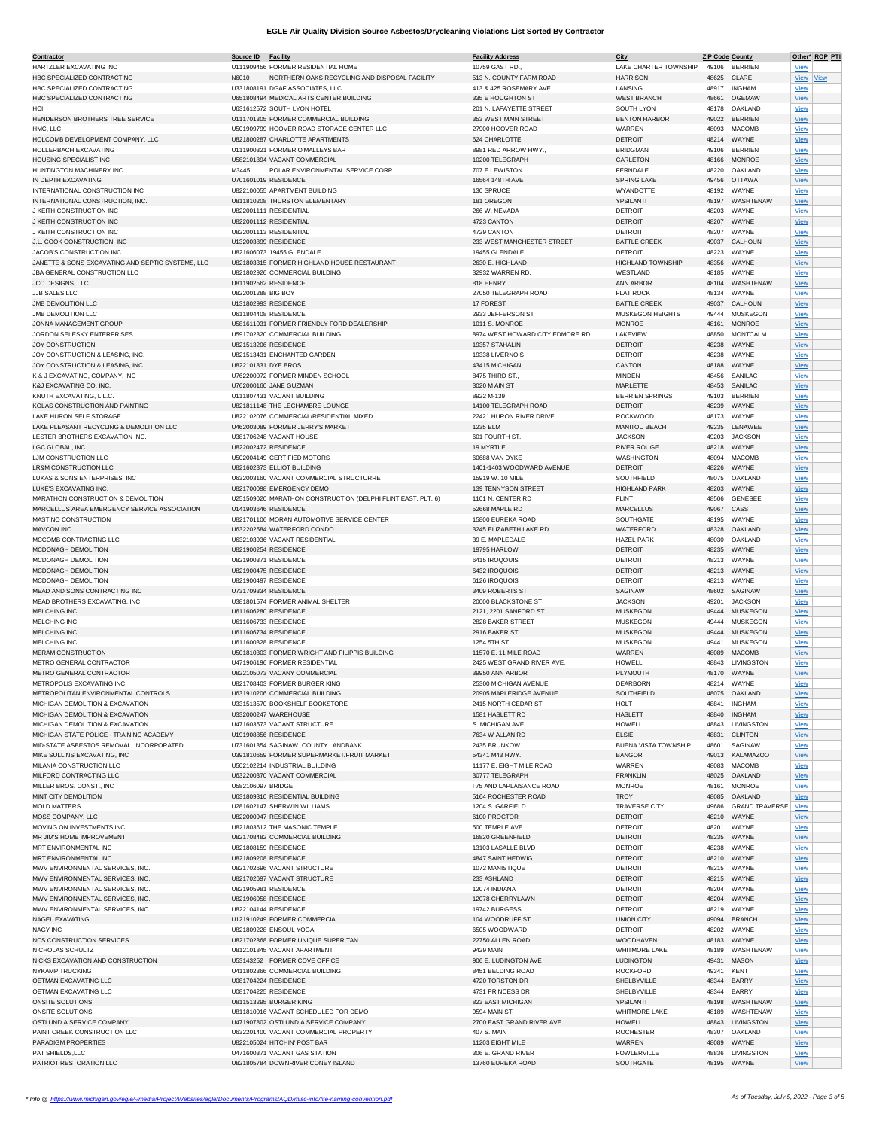| <b>Contractor</b>                                 | Source ID<br><b>Facility</b>                                 | <b>Facility Address</b>         | City                        | <b>ZIP Code County</b> |                       | Other* ROP PTI |
|---------------------------------------------------|--------------------------------------------------------------|---------------------------------|-----------------------------|------------------------|-----------------------|----------------|
| HARTZLER EXCAVATING INC                           | U111909456 FORMER RESIDENTIAL HOME                           | 10759 GAST RD.                  | LAKE CHARTER TOWNSHIP       | 49106                  | <b>BERRIEN</b>        | View           |
| HBC SPECIALIZED CONTRACTING                       | N6010<br>NORTHERN OAKS RECYCLING AND DISPOSAL FACILITY       | 513 N. COUNTY FARM ROAD         | <b>HARRISON</b>             | 48625                  | CLARE                 | View<br>View   |
| HBC SPECIALIZED CONTRACTING                       | U331808191 DGAF ASSOCIATES, LLC                              | 413 & 425 ROSEMARY AVE          | LANSING                     | 48917                  | <b>INGHAM</b>         | <b>View</b>    |
| HBC SPECIALIZED CONTRACTING                       | U651808494 MEDICAL ARTS CENTER BUILDING                      | 335 E HOUGHTON ST               | <b>WEST BRANCH</b>          | 48661                  | <b>OGEMAW</b>         | View           |
| HCI                                               | U631612572 SOUTH LYON HOTEL                                  | 201 N. LAFAYETTE STREET         | SOUTH LYON                  | 48178                  | OAKLAND               | View           |
| HENDERSON BROTHERS TREE SERVICE                   | U111701305 FORMER COMMERCIAL BUILDING                        | 353 WEST MAIN STREET            | <b>BENTON HARBOR</b>        | 49022                  | <b>BERRIEN</b>        | View           |
|                                                   | U501909799 HOOVER ROAD STORAGE CENTER LLC                    | 27900 HOOVER ROAD               |                             |                        |                       |                |
| HMC, LLC                                          |                                                              |                                 | WARREN                      | 48093                  | <b>MACOMB</b>         | View           |
| HOLCOMB DEVELOPMENT COMPANY, LLC                  | U821800287 CHARLOTTE APARTMENTS                              | 624 CHARLOTTE                   | <b>DETROIT</b>              | 48214                  | WAYNE                 | View           |
| HOLLERBACH EXCAVATING                             | U111900321 FORMER O'MALLEYS BAR                              | 8981 RED ARROW HWY              | <b>BRIDGMAN</b>             | 49106                  | <b>BERRIEN</b>        | <b>View</b>    |
| HOUSING SPECIALIST INC                            | U582101894 VACANT COMMERCIAL                                 | 10200 TELEGRAPH                 | CARLETON                    | 48166                  | <b>MONROE</b>         | View           |
| HUNTINGTON MACHINERY INC                          | M3445<br>POLAR ENVIRONMENTAL SERVICE CORP.                   | 707 E LEWISTON                  | <b>FERNDALE</b>             | 48220                  | OAKLAND               | View           |
| IN DEPTH EXCAVATING                               | U701601019 RESIDENCE                                         | 16564 148TH AVE                 | SPRING LAKE                 | 49456                  | <b>OTTAWA</b>         | View           |
|                                                   |                                                              |                                 |                             |                        |                       |                |
| INTERNATIONAL CONSTRUCTION INC                    | U822100055 APARTMENT BUILDING                                | 130 SPRUCE                      | WYANDOTTE                   | 48192                  | WAYNE                 | View           |
| INTERNATIONAL CONSTRUCTION, INC.                  | U811810208 THURSTON ELEMENTARY                               | 181 OREGON                      | YPSILANTI                   | 48197                  | WASHTENAW             | <b>View</b>    |
| J KEITH CONSTRUCTION INC                          | U822001111 RESIDENTIAL                                       | 266 W. NEVADA                   | <b>DETROIT</b>              | 48203                  | WAYNE                 | <b>View</b>    |
| J KEITH CONSTRUCTION INC                          | U822001112 RESIDENTIAL                                       | 4723 CANTON                     | <b>DETROIT</b>              | 48207                  | WAYNE                 | View           |
|                                                   |                                                              |                                 |                             |                        |                       |                |
| J KEITH CONSTRUCTION INC                          | U822001113 RESIDENTIAL                                       | 4729 CANTON                     | <b>DETROIT</b>              | 48207                  | WAYNE                 | View           |
| J.L. COOK CONSTRUCTION, INC                       | U132003899 RESIDENCE                                         | 233 WEST MANCHESTER STREET      | <b>BATTLE CREEK</b>         | 49037                  | CALHOUN               | View           |
| JACOB'S CONSTRUCTION INC                          | U821606073 19455 GLENDALE                                    | 19455 GLENDALE                  | <b>DETROIT</b>              | 48223                  | WAYNE                 | <b>View</b>    |
| JANETTE & SONS EXCAVATING AND SEPTIC SYSTEMS, LLC | U821803315 FORMER HIGHLAND HOUSE RESTAURANT                  | 2630 E. HIGHLAND                | <b>HIGHLAND TOWNSHIP</b>    | 48356                  | WAYNE                 | View           |
|                                                   |                                                              |                                 |                             |                        |                       |                |
| JBA GENERAL CONSTRUCTION LLC                      | U821802926 COMMERCIAL BUILDING                               | 32932 WARREN RD.                | WESTLAND                    | 48185                  | WAYNE                 | View           |
| JCC DESIGNS, LLC                                  | U811902562 RESIDENCE                                         | 818 HENRY                       | ANN ARBOR                   | 48104                  | WASHTENAW             | View           |
| JJB SALES LLC                                     | U822001288 BIG BOY                                           | 27050 TELEGRAPH ROAD            | <b>FLAT ROCK</b>            | 48134                  | WAYNE                 | <b>View</b>    |
| JMB DEMOLITION LLC                                | U131802993 RESIDENCE                                         | 17 FOREST                       | <b>BATTLE CREEK</b>         | 49037                  | CALHOUN               | View           |
| JMB DEMOLITION LLC                                | U611804408 RESIDENCE                                         |                                 |                             | 49444                  | <b>MUSKEGON</b>       |                |
|                                                   |                                                              | 2933 JEFFERSON ST               | MUSKEGON HEIGHTS            |                        |                       | View           |
| JONNA MANAGEMENT GROUP                            | U581611031 FORMER FRIENDLY FORD DEALERSHIP                   | 1011 S. MONROE                  | <b>MONROE</b>               | 48161                  | <b>MONROE</b>         | View           |
| <b>JORDON SELESKY ENTERPRISES</b>                 | U591702320 COMMERCIAL BUILDING                               | 8974 WEST HOWARD CITY EDMORE RD | LAKEVIEW                    | 48850                  | <b>MONTCALM</b>       | View           |
| <b>JOY CONSTRUCTION</b>                           | U821513206 RESIDENCE                                         | 19357 STAHALIN                  | <b>DETROIT</b>              | 48238                  | WAYNE                 | View           |
| JOY CONSTRUCTION & LEASING, INC.                  | U821513431 ENCHANTED GARDEN                                  | 19338 LIVERNOIS                 | <b>DETROIT</b>              | 48238                  | WAYNE                 | View           |
|                                                   |                                                              |                                 |                             |                        |                       |                |
| JOY CONSTRUCTION & LEASING, INC.                  | U822101831 DYE BROS                                          | 43415 MICHIGAN                  | CANTON                      | 48188                  | WAYNE                 | View           |
| K & J EXCAVATING, COMPANY, INC                    | U762200072 FORMER MINDEN SCHOOL                              | 8475 THIRD ST.,                 | <b>MINDEN</b>               | 48456                  | SANILAC               | View           |
| K&J EXCAVATING CO. INC.                           | U762000160 JANE GUZMAN                                       | 3020 M AIN ST                   | MARLETTE                    | 48453                  | SANILAC               | View           |
| KNUTH EXCAVATING, L.L.C.                          | U111807431 VACANT BUILDING                                   | 8922 M-139                      | <b>BERRIEN SPRINGS</b>      | 49103                  | <b>BERRIEN</b>        | View           |
|                                                   |                                                              |                                 |                             |                        |                       |                |
| KOLAS CONSTRUCTION AND PAINTING                   | U821811148 THE LECHAMBRE LOUNGE                              | 14100 TELEGRAPH ROAD            | <b>DETROIT</b>              | 48239                  | WAYNE                 | <b>View</b>    |
| LAKE HURON SELF STORAGE                           | U822102076 COMMERCIAL/RESIDENTIAL MIXED                      | 22421 HURON RIVER DRIVE         | <b>ROCKWOOD</b>             | 48173                  | WAYNE                 | <b>View</b>    |
| LAKE PLEASANT RECYCLING & DEMOLITION LLC          | U462003089 FORMER JERRY'S MARKET                             | 1235 ELM                        | MANITOU BEACH               | 49235                  | LENAWEE               | View           |
| LESTER BROTHERS EXCAVATION INC.                   | U381706248 VACANT HOUSE                                      | 601 FOURTH ST.                  | <b>JACKSON</b>              | 49203                  | <b>JACKSON</b>        | View           |
|                                                   |                                                              |                                 |                             |                        |                       |                |
| LGC GLOBAL, INC.                                  | U822002472 RESIDENCE                                         | 19 MYRTLE                       | <b>RIVER ROUGE</b>          | 48218                  | WAYNE                 | View           |
| LJM CONSTRUCTION LLC                              | U502004149 CERTIFIED MOTORS                                  | 60688 VAN DYKE                  | WASHINGTON                  | 48094                  | <b>MACOMB</b>         | View           |
| LR&M CONSTRUCTION LLC                             | U821602373 ELLIOT BUILDING                                   | 1401-1403 WOODWARD AVENUE       | <b>DETROIT</b>              | 48226                  | WAYNE                 | View           |
| LUKAS & SONS ENTERPRISES, INC                     | U632003160 VACANT COMMERCIAL STRUCTURRE                      | 15919 W. 10 MILE                | SOUTHFIELD                  | 48075                  | OAKLAND               | View           |
|                                                   |                                                              |                                 |                             |                        |                       |                |
| LUKE'S EXCAVATING INC                             | U821700098 EMERGENCY DEMO                                    | 139 TENNYSON STREET             | <b>HIGHLAND PARK</b>        | 48203                  | WAYNE                 | <b>View</b>    |
| MARATHON CONSTRUCTION & DEMOLITION                | U251509020 MARATHON CONSTRUCTION (DELPHI FLINT EAST, PLT. 6) | 1101 N. CENTER RD               | <b>FLINT</b>                | 48506                  | <b>GENESEE</b>        | View           |
| MARCELLUS AREA EMERGENCY SERVICE ASSOCIATION      | U141903646 RESIDENCE                                         | 52668 MAPLE RD                  | <b>MARCELLUS</b>            | 49067                  | CASS                  | <b>View</b>    |
| MASTINO CONSTRUCTION                              | U821701106 MORAN AUTOMOTIVE SERVICE CENTER                   | 15800 EUREKA ROAD               | SOUTHGATE                   | 48195                  | WAYNE                 | View           |
| MAVCON INC                                        | U632202584 WATERFORD CONDO                                   | 3245 ELIZABETH LAKE RD          | WATERFORD                   | 48328                  | OAKLAND               | View           |
|                                                   |                                                              |                                 |                             |                        |                       |                |
| MCCOMB CONTRACTING LLC                            | U632103936 VACANT RESIDENTIAL                                | 39 E. MAPLEDALE                 | <b>HAZEL PARK</b>           | 48030                  | OAKLAND               | View           |
| MCDONAGH DEMOLITION                               | U821900254 RESIDENCE                                         | 19795 HARLOW                    | <b>DETROIT</b>              | 48235                  | WAYNE                 | View           |
| MCDONAGH DEMOLITION                               | U821900371 RESIDENCE                                         | 6415 IROQOUIS                   | <b>DETROIT</b>              | 48213                  | WAYNE                 | View           |
| MCDONAGH DEMOLITION                               | U821900475 RESIDENCE                                         | 6432 IROQUOIS                   | <b>DETROIT</b>              | 48213                  | WAYNE                 | <b>View</b>    |
|                                                   |                                                              |                                 |                             |                        |                       |                |
| MCDONAGH DEMOLITION                               | U821900497 RESIDENCE                                         | 6126 IROQUOIS                   | <b>DETROIT</b>              | 48213                  | WAYNE                 | View           |
| MEAD AND SONS CONTRACTING INC                     | U731709334 RESIDENCE                                         | 3409 ROBERTS ST                 | SAGINAW                     | 48602                  | SAGINAW               | <b>View</b>    |
| MEAD BROTHERS EXCAVATING, INC                     | U381801574 FORMER ANIMAL SHELTER                             | 20000 BLACKSTONE ST             | <b>JACKSON</b>              | 49201                  | <b>JACKSON</b>        | View           |
| MELCHING INC                                      | U611606280 RESIDENCE                                         | 2121, 2201 SANFORD ST           | <b>MUSKEGON</b>             | 49444                  | <b>MUSKEGON</b>       | <b>View</b>    |
| MELCHING INC                                      |                                                              |                                 |                             |                        | <b>MUSKEGON</b>       |                |
|                                                   | U611606733 RESIDENCE                                         | 2828 BAKER STREET               | <b>MUSKEGON</b>             | 49444                  |                       | <b>View</b>    |
| MELCHING INC                                      | U611606734 RESIDENCE                                         | 2916 BAKER ST                   | <b>MUSKEGON</b>             |                        | 49444 MUSKEGON        | <b>View</b>    |
| MELCHING INC.                                     | U611600328 RESIDENCE                                         | 1254 5TH ST                     | <b>MUSKEGON</b>             | 49441                  | <b>MUSKEGON</b>       | View           |
| MERAM CONSTRUCTION                                | U501810303 FORMER WRIGHT AND FILIPPIS BUILDING               | 11570 E. 11 MILE ROAD           | WARREN                      | 48089                  | <b>MACOMB</b>         | View           |
| METRO GENERAL CONTRACTOR                          | U471906196 FORMER RESIDENTIAL                                | 2425 WEST GRAND RIVER AVE.      | <b>HOWELL</b>               | 48843                  | LIVINGSTON            | View           |
|                                                   |                                                              |                                 |                             |                        |                       |                |
| METRO GENERAL CONTRACTOR                          | U822105073 VACANY COMMERCIAL                                 | 39950 ANN ARBOR                 | PLYMOUTH                    | 48170                  | WAYNE                 | <b>View</b>    |
| METROPOLIS EXCAVATING INC                         | U821708403 FORMER BURGER KING                                | 25300 MICHIGAN AVENUE           | DEARBORN                    |                        | 48214 WAYNE           | View           |
| METROPOLITAN ENVIRONMENTAL CONTROLS               | U631910206 COMMERCIAL BUILDING                               | 20905 MAPLERIDGE AVENUE         | SOUTHFIELD                  |                        | 48075 OAKLAND         | <b>View</b>    |
| MICHIGAN DEMOLITION & EXCAVATION                  | U331513570 BOOKSHELF BOOKSTORE                               | 2415 NORTH CEDAR ST             | <b>HOLT</b>                 | 48841                  | INGHAM                | View           |
|                                                   |                                                              |                                 |                             |                        |                       |                |
| MICHIGAN DEMOLITION & EXCAVATION                  | U332000247 WAREHOUSE                                         | 1581 HASLETT RD                 | HASLETT                     | 48840                  | <b>INGHAM</b>         | <b>View</b>    |
| MICHIGAN DEMOLITION & EXCAVATION                  | U471603573 VACANT STRUCTURE                                  | S. MICHIGAN AVE                 | <b>HOWELL</b>               | 48843                  | LIVINGSTON            | <b>View</b>    |
| MICHIGAN STATE POLICE - TRAINING ACADEMY          | U191908856 RESIDENCE                                         | 7634 W ALLAN RD                 | <b>ELSIE</b>                | 48831                  | <b>CLINTON</b>        | View           |
| MID-STATE ASBESTOS REMOVAL, INCORPORATED          | U731601354 SAGINAW COUNTY LANDBANK                           | 2435 BRUNKOW                    | <b>BUENA VISTA TOWNSHIP</b> | 48601                  | SAGINAW               | View           |
| MIKE SULLINS EXCAVATING, INC                      | U391810659 FORMER SUPERMARKET/FRUIT MARKET                   | 54341 M43 HWY.,                 | <b>BANGOR</b>               | 49013                  | <b>KALAMAZOO</b>      | <b>View</b>    |
|                                                   |                                                              |                                 |                             |                        |                       |                |
| MILANIA CONSTRUCTION LLC                          | U502102214 INDUSTRIAL BUILDING                               | 11177 E. EIGHT MILE ROAD        | WARREN                      | 48083                  | <b>MACOMB</b>         | View           |
| MILFORD CONTRACTING LLC                           | U632200370 VACANT COMMERCIAL                                 | 30777 TELEGRAPH                 | <b>FRANKLIN</b>             | 48025                  | OAKLAND               | View           |
| MILLER BROS, CONST., INC                          | U582106097 BRIDGE                                            | I 75 AND LAPLAISANCE ROAD       | <b>MONROE</b>               | 48161                  | <b>MONROE</b>         | View           |
| MINT CITY DEMOLITION                              | U631809310 RESIDENTIAL BUILDING                              | 5164 ROCHESTER ROAD             | <b>TROY</b>                 | 48085                  | OAKLAND               | View           |
|                                                   | U281602147 SHERWIN WILLIAMS                                  |                                 | <b>TRAVERSE CITY</b>        |                        | <b>GRAND TRAVERSE</b> |                |
| <b>MOLD MATTERS</b>                               |                                                              | 1204 S. GARFIELD                |                             | 49686                  |                       | View           |
| MOSS COMPANY, LLC                                 | U822000947 RESIDENCE                                         | 6100 PROCTOR                    | <b>DETROIT</b>              | 48210                  | WAYNE                 | <b>View</b>    |
| MOVING ON INVESTMENTS INC                         | U821803612 THE MASONIC TEMPLE                                | 500 TEMPLE AVE                  | <b>DETROIT</b>              | 48201                  | WAYNE                 | <b>View</b>    |
| MR JIM'S HOME IMPROVEMENT                         | U821708482 COMMERCIAL BUILDING                               | 16820 GREENFIELD                | <b>DETROIT</b>              | 48235                  | WAYNE                 | View           |
| MRT ENVIRONMENTAL INC                             | U821808159 RESIDENCE                                         | 13103 LASALLE BLVD              | <b>DETROIT</b>              | 48238                  | WAYNE                 | View           |
|                                                   |                                                              |                                 |                             |                        |                       |                |
| MRT ENVIRONMENTAL INC                             | U821809208 RESIDENCE                                         | 4847 SAINT HEDWIG               | <b>DETROIT</b>              | 48210                  | WAYNE                 | <b>View</b>    |
| MWV ENVIRONMENTAL SERVICES, INC.                  | U821702696 VACANT STRUCTURE                                  | 1072 MANISTIQUE                 | <b>DETROIT</b>              | 48215                  | WAYNE                 | View           |
| MWV ENVIRONMENTAL SERVICES. INC.                  | U821702697 VACANT STRUCTURE                                  | 233 ASHLAND                     | <b>DETROIT</b>              | 48215                  | WAYNE                 | View           |
| MWV ENVIRONMENTAL SERVICES, INC.                  | U821905981 RESIDENCE                                         | 12074 INDIANA                   | <b>DETROIT</b>              | 48204                  | WAYNE                 | View           |
|                                                   |                                                              |                                 |                             |                        |                       |                |
| MWV ENVIRONMENTAL SERVICES, INC.                  | U821906058 RESIDENCE                                         | 12078 CHERRYLAWN                | <b>DETROIT</b>              | 48204                  | WAYNE                 | View           |
| MWV ENVIRONMENTAL SERVICES, INC.                  | U822104144 RESIDENCE                                         | 19742 BURGESS                   | <b>DETROIT</b>              | 48219                  | WAYNE                 | View           |
| NAGEL EXAVATING                                   | U121910249 FORMER COMMERCIAL                                 | 104 WOODRUFF ST                 | UNION CITY                  | 49094                  | <b>BRANCH</b>         | <b>View</b>    |
| NAGY INC                                          | U821809228 ENSOUL YOGA                                       | 6505 WOODWARD                   |                             |                        | WAYNE                 |                |
|                                                   |                                                              |                                 | <b>DETROIT</b>              | 48202                  |                       | <b>View</b>    |
| <b>NCS CONSTRUCTION SERVICES</b>                  | U821702368 FORMER UNIQUE SUPER TAN                           | 22750 ALLEN ROAD                | WOODHAVEN                   | 48183                  | WAYNE                 | View           |
| NICHOLAS SCHULTZ                                  | U812101845 VACANT APARTMENT                                  | 9429 MAIN                       | WHITMORE LAKE               | 48189                  | WASHTENAW             | <b>View</b>    |
| NICKS EXCAVATION AND CONSTRUCTION                 | U53143252 FORMER COVE OFFICE                                 | 906 E. LUDINGTON AVE            | <b>LUDINGTON</b>            | 49431                  | <b>MASON</b>          | <b>View</b>    |
|                                                   |                                                              |                                 |                             |                        |                       |                |
| <b>NYKAMP TRUCKING</b>                            | U411802366 COMMERCIAL BUILDING                               | 8451 BELDING ROAD               | <b>ROCKFORD</b>             | 49341                  | <b>KENT</b>           | <b>View</b>    |
| OETMAN EXCAVATING LLC                             | U081704224 RESIDENCE                                         | 4720 TORSTON DR                 | SHELBYVILLE                 | 48344                  | <b>BARRY</b>          | View           |
| OETMAN EXCAVATING LLC                             | U081704225 RESIDENCE                                         | 4731 PRINCESS DR                | SHELBYVILLE                 | 48344                  | <b>BARRY</b>          | View           |
| ONSITE SOLUTIONS                                  | U811513295 BURGER KING                                       | 823 EAST MICHIGAN               | YPSILANTI                   | 48198                  | WASHTENAW             | View           |
|                                                   |                                                              |                                 |                             |                        |                       |                |
| ONSITE SOLUTIONS                                  | U811810016 VACANT SCHEDULED FOR DEMO                         | 9594 MAIN ST                    | WHITMORE LAKE               | 48189                  | WASHTENAW             | View           |
| OSTLUND A SERVICE COMPANY                         | U471907802 OSTLUND A SERVICE COMPANY                         | 2700 EAST GRAND RIVER AVE       | HOWELL                      | 48843                  | LIVINGSTON            | <b>View</b>    |
| PAINT CREEK CONSTRUCTION LLC                      | U632201400 VACANT COMMERCIAL PROPERTY                        | <b>407 S. MAIN</b>              | <b>ROCHESTER</b>            | 48307                  | OAKLAND               | <b>View</b>    |
| PARADIGM PROPERTIES                               | U822105024 HITCHIN' POST BAR                                 | 11203 EIGHT MILE                | WARREN                      | 48089                  | WAYNE                 | View           |
| PAT SHIELDS,LLC                                   | U471600371 VACANT GAS STATION                                | 306 E. GRAND RIVER              | <b>FOWLERVILLE</b>          | 48836                  | LIVINGSTON            | View           |
|                                                   |                                                              |                                 |                             |                        |                       |                |
| PATRIOT RESTORATION LLC                           | U821805784 DOWNRIVER CONEY ISLAND                            | 13760 EUREKA ROAD               | SOUTHGATE                   |                        | 48195 WAYNE           | <b>View</b>    |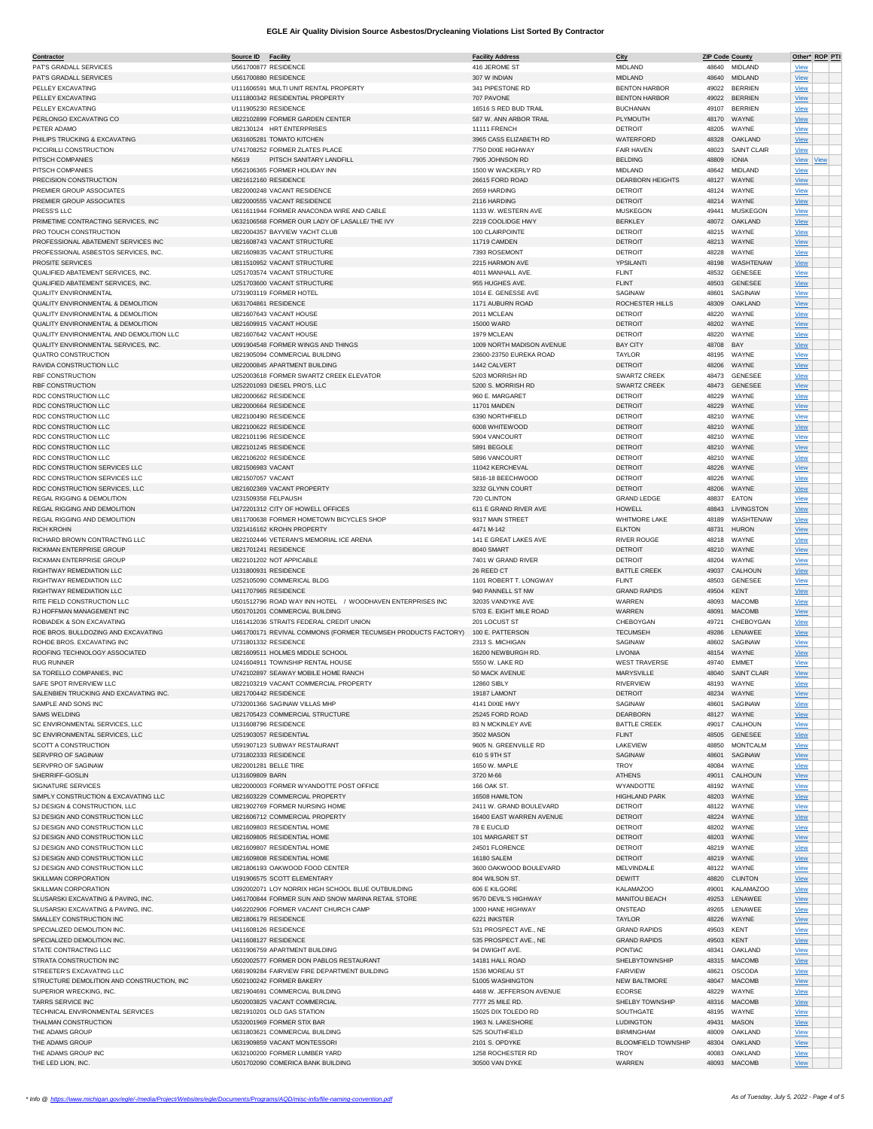| <u>Contractor</u>                          | Source ID             | <b>Facility</b>                                               | <b>Facility Address</b>   | City                       | <b>ZIP Code County</b> |                    |             | Other* ROP PTI |
|--------------------------------------------|-----------------------|---------------------------------------------------------------|---------------------------|----------------------------|------------------------|--------------------|-------------|----------------|
| PAT'S GRADALL SERVICES                     | U561700877 RESIDENCE  |                                                               | 416 JEROME ST             | MIDLAND                    |                        | 48640 MIDLAND      | View        |                |
| PATS GRADALL SERVICES                      | U561700880 RESIDENCE  |                                                               | 307 W INDIAN              | MIDLAND                    |                        | 48640 MIDLAND      | View        |                |
| PELLEY EXCAVATING                          |                       | U111606591 MULTI UNIT RENTAL PROPERTY                         | 341 PIPESTONE RD          | <b>BENTON HARBOR</b>       | 49022                  | <b>BERRIEN</b>     | <b>View</b> |                |
| PELLEY EXCAVATING                          |                       | U111800342 RESIDENTIAL PROPERTY                               | 707 PAVONE                | <b>BENTON HARBOR</b>       | 49022                  | <b>BERRIEN</b>     | View        |                |
| PELLEY EXCAVATING                          | U111905230 RESIDENCE  |                                                               | 16516 S RED BUD TRAIL     | <b>BUCHANAN</b>            | 49107                  | <b>BERRIEN</b>     | View        |                |
| PERLONGO EXCAVATING CO                     |                       | U822102899 FORMER GARDEN CENTER                               | 587 W. ANN ARBOR TRAIL    | PLYMOUTH                   | 48170                  | WAYNE              | View        |                |
|                                            |                       |                                                               |                           |                            |                        |                    |             |                |
| PETER ADAMO                                |                       | U82130124 HRT ENTERPRISES                                     | <b>11111 FRENCH</b>       | <b>DETROIT</b>             | 48205                  | WAYNE              | View        |                |
| PHILIPS TRUCKING & EXCAVATING              |                       | U631605281 TOMATO KITCHEN                                     | 3965 CASS ELIZABETH RD    | WATERFORD                  | 48328                  | OAKLAND            | View        |                |
| PICCIRILLI CONSTRUCTION                    |                       | U741708252 FORMER ZLATES PLACE                                | 7750 DIXIE HIGHWAY        | <b>FAIR HAVEN</b>          | 48023                  | <b>SAINT CLAIR</b> | View        |                |
| PITSCH COMPANIES                           | N5619                 | PITSCH SANITARY LANDFILL                                      | 7905 JOHNSON RD           | <b>BELDING</b>             | 48809                  | <b>IONIA</b>       | View View   |                |
| PITSCH COMPANIES                           |                       | U562106365 FORMER HOLIDAY INN                                 | 1500 W WACKERLY RD        | MIDLAND                    | 48642                  | <b>MIDLAND</b>     | View        |                |
| PRECISION CONSTRUCTION                     | U821612160 RESIDENCE  |                                                               | 26615 FORD ROAD           | <b>DEARBORN HEIGHTS</b>    | 48127                  | WAYNE              | <b>View</b> |                |
|                                            |                       |                                                               |                           |                            |                        |                    |             |                |
| PREMIER GROUP ASSOCIATES                   |                       | U822000248 VACANT RESIDENCE                                   | 2659 HARDING              | <b>DETROIT</b>             | 48124                  | WAYNE              | <b>View</b> |                |
| PREMIER GROUP ASSOCIATES                   |                       | U822000555 VACANT RESIDENCE                                   | 2116 HARDING              | <b>DETROIT</b>             | 48214                  | WAYNE              | <b>View</b> |                |
| PRESS'S LLC                                |                       | U611611944 FORMER ANACONDA WIRE AND CABLE                     | 1133 W. WESTERN AVE       | <b>MUSKEGON</b>            | 49441                  | MUSKEGON           | View        |                |
| PRIMETIME CONTRACTING SERVICES, INC.       |                       | U632106568 FORMER OUR LADY OF LASALLE/ THE IVY                | 2219 COOLIDGE HWY         | <b>BERKLEY</b>             | 48072                  | OAKLAND            | View        |                |
| PRO TOUCH CONSTRUCTION                     |                       | U822004357 BAYVIEW YACHT CLUB                                 | 100 CLAIRPOINTE           | <b>DETROIT</b>             | 48215                  | WAYNE              | View        |                |
| PROFESSIONAL ABATEMENT SERVICES INC        |                       | U821608743 VACANT STRUCTURE                                   | 11719 CAMDEN              | <b>DETROIT</b>             | 48213                  | WAYNE              | View        |                |
| PROFESSIONAL ASBESTOS SERVICES, INC.       |                       |                                                               |                           |                            |                        | WAYNE              |             |                |
|                                            |                       | U821609835 VACANT STRUCTURE                                   | 7393 ROSEMONT             | <b>DETROIT</b>             | 48228                  |                    | View        |                |
| PROSITE SERVICES                           |                       | U811510952 VACANT STRUCTURE                                   | 2215 HARMON AVE           | YPSILANT                   | 48198                  | WASHTENAW          | <b>View</b> |                |
| QUALIFIED ABATEMENT SERVICES, INC.         |                       | U251703574 VACANT STRUCTURE                                   | 4011 MANHALL AVE.         | <b>FLINT</b>               | 48532                  | GENESEE            | View        |                |
| QUALIFIED ABATEMENT SERVICES, INC.         |                       | U251703600 VACANT STRUCTURE                                   | 955 HUGHES AVE            | <b>FLINT</b>               | 48503                  | GENESEE            | View        |                |
| <b>QUALITY ENVIRONMENTAL</b>               |                       | U731903119 FORMER HOTEL                                       | 1014 E. GENESSE AVE       | SAGINAW                    | 48601                  | SAGINAW            | <b>View</b> |                |
| QUALITY ENVIRONMENTAL & DEMOLITION         | U631704861 RESIDENCE  |                                                               | 1171 AUBURN ROAD          | ROCHESTER HILLS            | 48309                  | OAKLAND            | <b>View</b> |                |
| QUALITY ENVIRONMENTAL & DEMOLITION         |                       | U821607643 VACANT HOUSE                                       | 2011 MCLEAN               | DETROIT                    | 48220                  | WAYNE              | View        |                |
|                                            |                       |                                                               |                           |                            |                        |                    |             |                |
| QUALITY ENVIRONMENTAL & DEMOLITION         |                       | U821609915 VACANT HOUSE                                       | 15000 WARD                | <b>DETROIT</b>             | 48202                  | WAYNE              | View        |                |
| QUALITY ENVIRONMENTAL AND DEMOLITION LLC   |                       | U821607642 VACANT HOUSE                                       | 1979 MCLEAN               | DETROIT                    | 48220                  | WAYNE              | View        |                |
| QUALITY ENVIRONMENTAL SERVICES, INC.       |                       | U091904548 FORMER WINGS AND THINGS                            | 1009 NORTH MADISON AVENUE | <b>BAY CITY</b>            | 48708                  | BAY                | View        |                |
| QUATRO CONSTRUCTION                        |                       | U821905094 COMMERCIAL BUILDING                                | 23600-23750 EUREKA ROAD   | TAYLOR                     | 48195                  | WAYNE              | <b>View</b> |                |
| RAVIDA CONSTRUCTION LLC                    |                       | U822000845 APARTMENT BUILDING                                 | 1442 CALVERT              | <b>DETROIT</b>             | 48206                  | WAYNE              | View        |                |
| RBF CONSTRUCTION                           |                       | U252003618 FORMER SWARTZ CREEK ELEVATOR                       | 5203 MORRISH RD           | <b>SWARTZ CREEK</b>        | 48473                  | <b>GENESEE</b>     | <b>View</b> |                |
| RBF CONSTRUCTION                           |                       | U252201093 DIESEL PRO'S, LLC                                  | 5200 S. MORRISH RD        | SWARTZ CREEK               | 48473                  | GENESEE            |             |                |
|                                            |                       |                                                               |                           |                            |                        |                    | View        |                |
| RDC CONSTRUCTION LLC                       | U822000662 RESIDENCE  |                                                               | 960 E. MARGARET           | <b>DETROIT</b>             | 48229                  | WAYNE              | <b>View</b> |                |
| RDC CONSTRUCTION LLC                       | U822000664 RESIDENCE  |                                                               | 11701 MAIDEN              | <b>DETROIT</b>             | 48229                  | WAYNE              | <b>View</b> |                |
| RDC CONSTRUCTION LLC                       | U822100490 RESIDENCE  |                                                               | 6390 NORTHFIELD           | DETROIT                    | 48210                  | WAYNE              | View        |                |
| RDC CONSTRUCTION LLC                       | U822100622 RESIDENCE  |                                                               | 6008 WHITEWOOD            | <b>DETROIT</b>             | 48210                  | WAYNE              | View        |                |
| RDC CONSTRUCTION LLC                       | U822101196 RESIDENCE  |                                                               | 5904 VANCOURT             | DETROIT                    | 48210                  | WAYNE              | View        |                |
| RDC CONSTRUCTION LLC                       | U822101245 RESIDENCE  |                                                               | 5891 BEGOLE               | <b>DETROIT</b>             | 48210                  | WAYNE              | View        |                |
|                                            |                       |                                                               |                           |                            |                        |                    |             |                |
| RDC CONSTRUCTION LLC                       | U822106202 RESIDENCE  |                                                               | 5896 VANCOURT             | <b>DETROIT</b>             | 48210                  | WAYNE              | <b>View</b> |                |
| RDC CONSTRUCTION SERVICES LLC              | U821506983 VACANT     |                                                               | 11042 KERCHEVAL           | <b>DETROIT</b>             | 48226                  | WAYNE              | View        |                |
| RDC CONSTRUCTION SERVICES LLC              | U821507057 VACANT     |                                                               | 5816-18 BEECHWOOD         | <b>DETROIT</b>             | 48226                  | WAYNE              | <b>View</b> |                |
| RDC CONSTRUCTION SERVICES, LLC             |                       | U821602369 VACANT PROPERTY                                    | 3232 GLYNN COURT          | <b>DETROIT</b>             | 48206                  | WAYNE              | View        |                |
| REGAL RIGGING & DEMOLITION                 | U231509358 FELPAUSH   |                                                               | 720 CLINTON               | <b>GRAND LEDGE</b>         | 48837                  | EATON              | <b>View</b> |                |
| REGAL RIGGING AND DEMOLITION               |                       | U472201312 CITY OF HOWELL OFFICES                             | 611 E GRAND RIVER AVE     | HOWELL                     | 48843                  | LIVINGSTON         | <b>View</b> |                |
|                                            |                       |                                                               | 9317 MAIN STREET          |                            |                        | WASHTENAW          |             |                |
| REGAL RIGGING AND DEMOLITION               |                       | U811700638 FORMER HOMETOWN BICYCLES SHOP                      |                           | WHITMORE LAKE              | 48189                  |                    | View        |                |
| RICH KROHN                                 |                       | U321416162 KROHN PROPERTY                                     | 4471 M-142                | <b>ELKTON</b>              | 48731                  | <b>HURON</b>       | View        |                |
| RICHARD BROWN CONTRACTING LLC              |                       | U822102446 VETERAN'S MEMORIAL ICE ARENA                       | 141 E GREAT LAKES AVE     | RIVER ROUGE                | 48218                  | WAYNE              | View        |                |
| RICKMAN ENTERPRISE GROUP                   | U821701241 RESIDENCE  |                                                               | 8040 SMART                | <b>DETROIT</b>             | 48210                  | WAYNE              | View        |                |
| RICKMAN ENTERPRISE GROUP                   |                       | U822101202 NOT APPICABLE                                      | 7401 W GRAND RIVER        | <b>DETROIT</b>             | 48204                  | WAYNE              | View        |                |
| RIGHTWAY REMEDIATION LLC                   | U131800931 RESIDENCE  |                                                               | 26 REED CT                | <b>BATTLE CREEK</b>        | 49037                  | CALHOUN            | View        |                |
| RIGHTWAY REMEDIATION LLC                   |                       | U252105090 COMMERICAL BLDG                                    | 1101 ROBERT T. LONGWAY    | <b>FLINT</b>               | 48503                  | <b>GENESEE</b>     | View        |                |
|                                            |                       |                                                               |                           |                            |                        |                    |             |                |
| RIGHTWAY REMEDIATION LLC                   | U411707965 RESIDENCE  |                                                               | 940 PANNELL ST NW         | <b>GRAND RAPIDS</b>        | 49504                  | KENT               | View        |                |
| RITE FIELD CONSTRUCTION LLC                |                       | U501512796 ROAD WAY INN HOTEL / WOODHAVEN ENTERPRISES INC     | 32035 VANDYKE AVE         | WARREN                     | 48093                  | <b>MACOMB</b>      | <b>View</b> |                |
| RJ HOFFMAN MANAGEMENT INC                  |                       | U501701201 COMMERCIAL BUILDING                                | 5703 E. EIGHT MILE ROAD   | WARREN                     | 48091                  | <b>MACOMB</b>      | <b>View</b> |                |
| ROBIADEK & SON EXCAVATING                  |                       | U161412036 STRAITS FEDERAL CREDIT UNION                       | 201 LOCUST ST             | CHEBOYGAN                  | 49721                  | CHEBOYGAN          | View        |                |
| ROE BROS. BULLDOZING AND EXCAVATING        |                       | U461700171 REVIVAL COMMONS (FORMER TECUMSEH PRODUCTS FACTORY) | 100 E. PATTERSON          | <b>TECUMSEH</b>            | 49286                  | LENAWEE            | <b>View</b> |                |
| ROHDE BROS. EXCAVATING INC                 | U731801332 RESIDENCE  |                                                               | 2313 S. MICHIGAN          | SAGINAW                    | 48602                  | SAGINAW            | View        |                |
| ROOFING TECHNOLOGY ASSOCIATED              |                       | U821609511 HOLMES MIDDLE SCHOOL                               | 16200 NEWBURGH RD         | LIVONIA                    | 48154                  | WAYNE              |             |                |
|                                            |                       |                                                               |                           |                            |                        |                    | View        |                |
| <b>RUG RUNNER</b>                          |                       | U241604911 TOWNSHIP RENTAL HOUSE                              | 5550 W. LAKE RD           | <b>WEST TRAVERSE</b>       | 49740                  | <b>EMMET</b>       | <b>View</b> |                |
| SA TORELLO COMPANIES, INC                  |                       | U742102897 SEAWAY MOBILE HOME RANCH                           | 50 MACK AVENUE            | MARYSVILLE                 | 48040                  | <b>SAINT CLAIR</b> | View        |                |
| SAFE SPOT RIVERVIEW LLC                    |                       | U822103219 VACANT COMMERCIAL PROPERTY                         | 12860 SIBLY               | RIVERVIEW                  | 48193                  | WAYNE              | View        |                |
| SALENBIEN TRUCKING AND EXCAVATING INC.     |                       | U821700442 RESIDENCE                                          | 19187 LAMONT              | <b>DETROIT</b>             | 48234                  | WAYNE              | <b>View</b> |                |
| SAMPLE AND SONS INC                        |                       | U732001366 SAGINAW VILLAS MHP                                 | 4141 DIXIE HWY            | SAGINAW                    |                        | 48601 SAGINAW      | View        |                |
| SAMS WELDING                               |                       | U821705423 COMMERCIAL STRUCTURE                               | 25245 FORD ROAD           | DEARBORN                   |                        | 48127 WAYNE        | <b>View</b> |                |
|                                            |                       |                                                               |                           |                            |                        |                    |             |                |
| SC ENVIRONMENTAL SERVICES, LLC             | U131608796 RESIDENCE  |                                                               | 83 N MCKINLEY AVE         | <b>BATTLE CREEK</b>        | 49017                  | CALHOUN            | View        |                |
| SC ENVIRONMENTAL SERVICES, LLC             |                       | U251903057 RESIDENTIAL                                        | 3502 MASON                | <b>FLINT</b>               | 48505                  | GENESEE            | View        |                |
| SCOTT A CONSTRUCTION                       |                       | U591907123 SUBWAY RESTAURANT                                  | 9605 N. GREENVILLE RD     | LAKEVIEW                   | 48850                  | <b>MONTCALM</b>    | View        |                |
| SERVPRO OF SAGINAW                         | U731802333 RESIDENCE  |                                                               | 610 S 9TH ST              | SAGINAW                    | 48601                  | SAGINAW            | <b>View</b> |                |
| SERVPRO OF SAGINAW                         | U822001281 BELLE TIRE |                                                               | 1650 W. MAPLE             | <b>TROY</b>                | 48084                  | WAYNE              | <b>View</b> |                |
| SHERRIFF-GOSLIN                            | U131609809 BARN       |                                                               | 3720 M-66                 | <b>ATHENS</b>              | 49011                  | CALHOUN            | View        |                |
| SIGNATURE SERVICES                         |                       | U822000003 FORMER WYANDOTTE POST OFFICE                       | 166 OAK ST.               | WYANDOTTE                  | 48192                  | WAYNE              | View        |                |
| SIMPLY CONSTRUCTION & EXCAVATING LLC       |                       | U821603229 COMMERCIAL PROPERTY                                | 16508 HAMILTON            | <b>HIGHLAND PARK</b>       | 48203                  | WAYNE              | View        |                |
|                                            |                       |                                                               |                           |                            |                        |                    |             |                |
| SJ DESIGN & CONSTRUCTION, LLC              |                       | U821902769 FORMER NURSING HOME                                | 2411 W. GRAND BOULEVARD   | <b>DETROIT</b>             | 48122                  | WAYNE              | <b>View</b> |                |
| SJ DESIGN AND CONSTRUCTION LLC             |                       | U821606712 COMMERCIAL PROPERTY                                | 16400 EAST WARREN AVENUE  | <b>DETROIT</b>             | 48224                  | WAYNE              | <b>View</b> |                |
| SJ DESIGN AND CONSTRUCTION LLC             |                       | U821609803 RESIDENTIAL HOME                                   | 78 E EUCLID               | <b>DETROIT</b>             | 48202                  | WAYNE              | <b>View</b> |                |
| SJ DESIGN AND CONSTRUCTION LLC             |                       | U821609805 RESIDENTIAL HOME                                   | 101 MARGARET ST           | <b>DETROIT</b>             | 48203                  | WAYNE              | View        |                |
| SJ DESIGN AND CONSTRUCTION LLC             |                       | U821609807 RESIDENTIAL HOME                                   | 24501 FLORENCE            | <b>DETROIT</b>             | 48219                  | WAYNE              | View        |                |
| SJ DESIGN AND CONSTRUCTION LLC             |                       | U821609808 RESIDENTIAL HOME                                   | 16180 SALEM               | <b>DETROIT</b>             | 48219                  | WAYNE              | <b>View</b> |                |
| SJ DESIGN AND CONSTRUCTION LLC             |                       | U821806193 OAKWOOD FOOD CENTER                                | 3600 OAKWOOD BOULEVARD    | MELVINDALE                 | 48122                  | WAYNE              |             |                |
|                                            |                       |                                                               |                           |                            |                        |                    | View        |                |
| SKILLMAN CORPORATION                       |                       | U191906575 SCOTT ELEMENTARY                                   | 804 WILSON ST.            | DEWITT                     | 48820                  | <b>CLINTON</b>     | View        |                |
| SKILLMAN CORPORATION                       |                       | U392002071 LOY NORRIX HIGH SCHOOL BLUE OUTBUILDING            | 606 E KILGORE             | <b>KALAMAZOO</b>           | 49001                  | <b>KALAMAZOO</b>   | <b>View</b> |                |
| SLUSARSKI EXCAVATING & PAVING, INC.        |                       | U461700844 FORMER SUN AND SNOW MARINA RETAIL STORE            | 9570 DEVIL'S HIGHWAY      | MANITOU BEACH              | 49253                  | LENAWEE            | View        |                |
| SLUSARSKI EXCAVATING & PAVING, INC.        |                       | U462202906 FORMER VACANT CHURCH CAMP                          | 1000 HANE HIGHWAY         | ONSTEAD                    | 49265                  | LENAWEE            | View        |                |
| SMALLEY CONSTRUCTION INC                   | U821806179 RESIDENCE  |                                                               | 6221 INKSTER              | TAYLOR                     | 48226                  | WAYNE              | <b>View</b> |                |
| SPECIALIZED DEMOLITION INC.                | U411608126 RESIDENCE  |                                                               | 531 PROSPECT AVE., NE     | <b>GRAND RAPIDS</b>        | 49503                  | KENT               |             |                |
|                                            |                       |                                                               |                           |                            |                        |                    | <b>View</b> |                |
| SPECIALIZED DEMOLITION INC.                | U411608127 RESIDENCE  |                                                               | 535 PROSPECT AVE., NE     | <b>GRAND RAPIDS</b>        | 49503                  | KENT               | <b>View</b> |                |
| STATE CONTRACTING LLC                      |                       | U631906759 APARTMENT BUILDING                                 | 94 DWIGHT AVE.            | PONTIAC                    | 48341                  | OAKLAND            | View        |                |
| STRATA CONSTRUCTION INC                    |                       | U502002577 FORMER DON PABLOS RESTAURANT                       | 14181 HALL ROAD           | SHELBYTOWNSHIP             | 48315                  | <b>MACOMB</b>      | View        |                |
| STREETER'S EXCAVATING LLC                  |                       | U681909284 FAIRVIEW FIRE DEPARTMENT BUILDING                  | 1536 MOREAU ST            | <b>FAIRVIEW</b>            | 48621                  | OSCODA             | <b>View</b> |                |
| STRUCTURE DEMOLITION AND CONSTRUCTION, INC |                       | U502100242 FORMER BAKERY                                      | 51005 WASHINGTON          | NEW BALTIMORE              | 48047                  | <b>MACOMB</b>      | View        |                |
| SUPERIOR WRECKING, INC.                    |                       | U821904691 COMMERCIAL BUILDING                                | 4468 W. JEFFERSON AVENUE  | <b>ECORSE</b>              | 48229                  | WAYNE              | View        |                |
|                                            |                       |                                                               |                           |                            |                        |                    |             |                |
| TARRS SERVICE INC                          |                       | U502003825 VACANT COMMERCIAL                                  | 7777 25 MILE RD.          | SHELBY TOWNSHIP            | 48316                  | <b>MACOMB</b>      | View        |                |
| TECHNICAL ENVIRONMENTAL SERVICES           |                       | U821910201 OLD GAS STATION                                    | 15025 DIX TOLEDO RD       | SOUTHGATE                  | 48195                  | WAYNE              | View        |                |
| THALMAN CONSTRUCTION                       |                       | U532001969 FORMER STIX BAR                                    | 1963 N. LAKESHORE         | <b>LUDINGTON</b>           | 49431                  | <b>MASON</b>       | <b>View</b> |                |
| THE ADAMS GROUP                            |                       | U631803621 COMMERCIAL BUILDING                                | 525 SOUTHFIELD            | <b>BIRMINGHAM</b>          | 48009                  | OAKLAND            | View        |                |
| THE ADAMS GROUP                            |                       | U631909859 VACANT MONTESSORI                                  | 2101 S. OPDYKE            | <b>BLOOMFIELD TOWNSHIP</b> | 48304                  | OAKLAND            | <b>View</b> |                |
| THE ADAMS GROUP INC                        |                       | U632100200 FORMER LUMBER YARD                                 | 1258 ROCHESTER RD         | <b>TROY</b>                | 40083                  | OAKLAND            | View        |                |
| THE LED LION, INC.                         |                       | U501702090 COMERICA BANK BUILDING                             | 30500 VAN DYKE            | WARREN                     |                        | 48093 MACOMB       | View        |                |